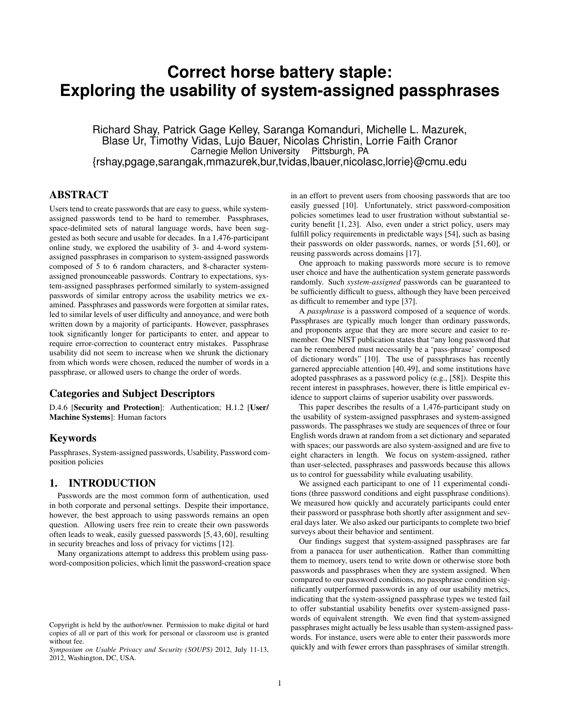# **Correct horse battery staple: Exploring the usability of system-assigned passphrases**

Richard Shay, Patrick Gage Kelley, Saranga Komanduri, Michelle L. Mazurek, Blase Ur, Timothy Vidas, Lujo Bauer, Nicolas Christin, Lorrie Faith Cranor Carnegie Mellon University Pittsburgh, PA {rshay,pgage,sarangak,mmazurek,bur,tvidas,lbauer,nicolasc,lorrie}@cmu.edu

# ABSTRACT

Users tend to create passwords that are easy to guess, while systemassigned passwords tend to be hard to remember. Passphrases, space-delimited sets of natural language words, have been suggested as both secure and usable for decades. In a 1,476-participant online study, we explored the usability of 3- and 4-word systemassigned passphrases in comparison to system-assigned passwords composed of 5 to 6 random characters, and 8-character systemassigned pronounceable passwords. Contrary to expectations, system-assigned passphrases performed similarly to system-assigned passwords of similar entropy across the usability metrics we examined. Passphrases and passwords were forgotten at similar rates, led to similar levels of user difficulty and annoyance, and were both written down by a majority of participants. However, passphrases took significantly longer for participants to enter, and appear to require error-correction to counteract entry mistakes. Passphrase usability did not seem to increase when we shrunk the dictionary from which words were chosen, reduced the number of words in a passphrase, or allowed users to change the order of words.

## Categories and Subject Descriptors

D.4.6 [Security and Protection]: Authentication; H.1.2 [User/ Machine Systems]: Human factors

#### Keywords

Passphrases, System-assigned passwords, Usability, Password composition policies

## 1. INTRODUCTION

Passwords are the most common form of authentication, used in both corporate and personal settings. Despite their importance, however, the best approach to using passwords remains an open question. Allowing users free rein to create their own passwords often leads to weak, easily guessed passwords [5, 43, 60], resulting in security breaches and loss of privacy for victims [12].

Many organizations attempt to address this problem using password-composition policies, which limit the password-creation space in an effort to prevent users from choosing passwords that are too easily guessed [10]. Unfortunately, strict password-composition policies sometimes lead to user frustration without substantial security benefit [1, 23]. Also, even under a strict policy, users may fulfill policy requirements in predictable ways [54], such as basing their passwords on older passwords, names, or words [51, 60], or reusing passwords across domains [17].

One approach to making passwords more secure is to remove user choice and have the authentication system generate passwords randomly. Such *system-assigned* passwords can be guaranteed to be sufficiently difficult to guess, although they have been perceived as difficult to remember and type [37].

A *passphrase* is a password composed of a sequence of words. Passphrases are typically much longer than ordinary passwords, and proponents argue that they are more secure and easier to remember. One NIST publication states that "any long password that can be remembered must necessarily be a 'pass-phrase' composed of dictionary words" [10]. The use of passphrases has recently garnered appreciable attention [40, 49], and some institutions have adopted passphrases as a password policy (e.g., [58]). Despite this recent interest in passphrases, however, there is little empirical evidence to support claims of superior usability over passwords.

This paper describes the results of a 1,476-participant study on the usability of system-assigned passphrases and system-assigned passwords. The passphrases we study are sequences of three or four English words drawn at random from a set dictionary and separated with spaces; our passwords are also system-assigned and are five to eight characters in length. We focus on system-assigned, rather than user-selected, passphrases and passwords because this allows us to control for guessability while evaluating usability.

We assigned each participant to one of 11 experimental conditions (three password conditions and eight passphrase conditions). We measured how quickly and accurately participants could enter their password or passphrase both shortly after assignment and several days later. We also asked our participants to complete two brief surveys about their behavior and sentiment.

Our findings suggest that system-assigned passphrases are far from a panacea for user authentication. Rather than committing them to memory, users tend to write down or otherwise store both passwords and passphrases when they are system assigned. When compared to our password conditions, no passphrase condition significantly outperformed passwords in any of our usability metrics, indicating that the system-assigned passphrase types we tested fail to offer substantial usability benefits over system-assigned passwords of equivalent strength. We even find that system-assigned passphrases might actually be less usable than system-assigned passwords. For instance, users were able to enter their passwords more quickly and with fewer errors than passphrases of similar strength.

Copyright is held by the author/owner. Permission to make digital or hard copies of all or part of this work for personal or classroom use is granted without fee.

*Symposium on Usable Privacy and Security (SOUPS)* 2012, July 11-13, 2012, Washington, DC, USA.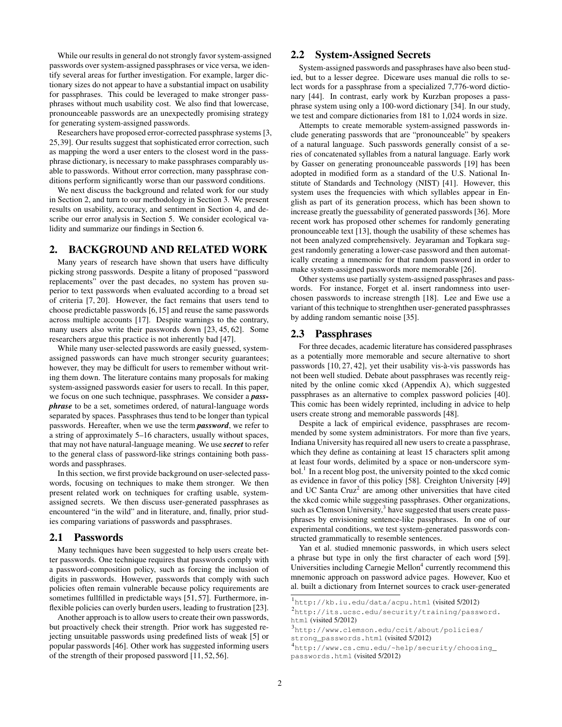While our results in general do not strongly favor system-assigned passwords over system-assigned passphrases or vice versa, we identify several areas for further investigation. For example, larger dictionary sizes do not appear to have a substantial impact on usability for passphrases. This could be leveraged to make stronger passphrases without much usability cost. We also find that lowercase, pronounceable passwords are an unexpectedly promising strategy for generating system-assigned passwords.

Researchers have proposed error-corrected passphrase systems [3, 25,39]. Our results suggest that sophisticated error correction, such as mapping the word a user enters to the closest word in the passphrase dictionary, is necessary to make passphrases comparably usable to passwords. Without error correction, many passphrase conditions perform significantly worse than our password conditions.

We next discuss the background and related work for our study in Section 2, and turn to our methodology in Section 3. We present results on usability, accuracy, and sentiment in Section 4, and describe our error analysis in Section 5. We consider ecological validity and summarize our findings in Section 6.

## 2. BACKGROUND AND RELATED WORK

Many years of research have shown that users have difficulty picking strong passwords. Despite a litany of proposed "password replacements" over the past decades, no system has proven superior to text passwords when evaluated according to a broad set of criteria [7, 20]. However, the fact remains that users tend to choose predictable passwords [6,15] and reuse the same passwords across multiple accounts [17]. Despite warnings to the contrary, many users also write their passwords down [23, 45, 62]. Some researchers argue this practice is not inherently bad [47].

While many user-selected passwords are easily guessed, systemassigned passwords can have much stronger security guarantees; however, they may be difficult for users to remember without writing them down. The literature contains many proposals for making system-assigned passwords easier for users to recall. In this paper, we focus on one such technique, passphrases. We consider a *passphrase* to be a set, sometimes ordered, of natural-language words separated by spaces. Passphrases thus tend to be longer than typical passwords. Hereafter, when we use the term *password*, we refer to a string of approximately 5–16 characters, usually without spaces, that may not have natural-language meaning. We use *secret* to refer to the general class of password-like strings containing both passwords and passphrases.

In this section, we first provide background on user-selected passwords, focusing on techniques to make them stronger. We then present related work on techniques for crafting usable, systemassigned secrets. We then discuss user-generated passphrases as encountered "in the wild" and in literature, and, finally, prior studies comparing variations of passwords and passphrases.

#### 2.1 Passwords

Many techniques have been suggested to help users create better passwords. One technique requires that passwords comply with a password-composition policy, such as forcing the inclusion of digits in passwords. However, passwords that comply with such policies often remain vulnerable because policy requirements are sometimes fullfilled in predictable ways [51, 57]. Furthermore, inflexible policies can overly burden users, leading to frustration [23].

Another approach is to allow users to create their own passwords, but proactively check their strength. Prior work has suggested rejecting unsuitable passwords using predefined lists of weak [5] or popular passwords [46]. Other work has suggested informing users of the strength of their proposed password [11, 52, 56].

## 2.2 System-Assigned Secrets

System-assigned passwords and passphrases have also been studied, but to a lesser degree. Diceware uses manual die rolls to select words for a passphrase from a specialized 7,776-word dictionary [44]. In contrast, early work by Kurzban proposes a passphrase system using only a 100-word dictionary [34]. In our study, we test and compare dictionaries from 181 to 1,024 words in size.

Attempts to create memorable system-assigned passwords include generating passwords that are "pronounceable" by speakers of a natural language. Such passwords generally consist of a series of concatenated syllables from a natural language. Early work by Gasser on generating pronounceable passwords [19] has been adopted in modified form as a standard of the U.S. National Institute of Standards and Technology (NIST) [41]. However, this system uses the frequencies with which syllables appear in English as part of its generation process, which has been shown to increase greatly the guessability of generated passwords [36]. More recent work has proposed other schemes for randomly generating pronounceable text [13], though the usability of these schemes has not been analyzed comprehensively. Jeyaraman and Topkara suggest randomly generating a lower-case password and then automatically creating a mnemonic for that random password in order to make system-assigned passwords more memorable [26].

Other systems use partially system-assigned passphrases and passwords. For instance, Forget et al. insert randomness into userchosen passwords to increase strength [18]. Lee and Ewe use a variant of this technique to strenghthen user-generated passphrasses by adding random semantic noise [35].

#### 2.3 Passphrases

For three decades, academic literature has considered passphrases as a potentially more memorable and secure alternative to short passwords [10, 27, 42], yet their usability vis-à-vis passwords has not been well studied. Debate about passphrases was recently reignited by the online comic xkcd (Appendix A), which suggested passphrases as an alternative to complex password policies [40]. This comic has been widely reprinted, including in advice to help users create strong and memorable passwords [48].

Despite a lack of empirical evidence, passphrases are recommended by some system administrators. For more than five years, Indiana University has required all new users to create a passphrase, which they define as containing at least 15 characters split among at least four words, delimited by a space or non-underscore symbol.<sup>1</sup> In a recent blog post, the university pointed to the xkcd comic as evidence in favor of this policy [58]. Creighton University [49] and UC Santa Cruz<sup>2</sup> are among other universities that have cited the xkcd comic while suggesting passphrases. Other organizations, such as Clemson University,<sup>3</sup> have suggested that users create passphrases by envisioning sentence-like passphrases. In one of our experimental conditions, we test system-generated passwords constructed grammatically to resemble sentences.

Yan et al. studied mnemonic passwords, in which users select a phrase but type in only the first character of each word [59]. Universities including Carnegie Mellon<sup>4</sup> currently recommend this mnemonic approach on password advice pages. However, Kuo et al. built a dictionary from Internet sources to crack user-generated

<sup>1</sup> http://kb.iu.edu/data/acpu.html (visited 5/2012)

<sup>&</sup>lt;sup>2</sup>http://its.ucsc.edu/security/training/password. html (visited 5/2012)

<sup>3</sup> http://www.clemson.edu/ccit/about/policies/ strong\_passwords.html (visited 5/2012)

<sup>4</sup> http://www.cs.cmu.edu/~help/security/choosing\_ passwords.html (visited 5/2012)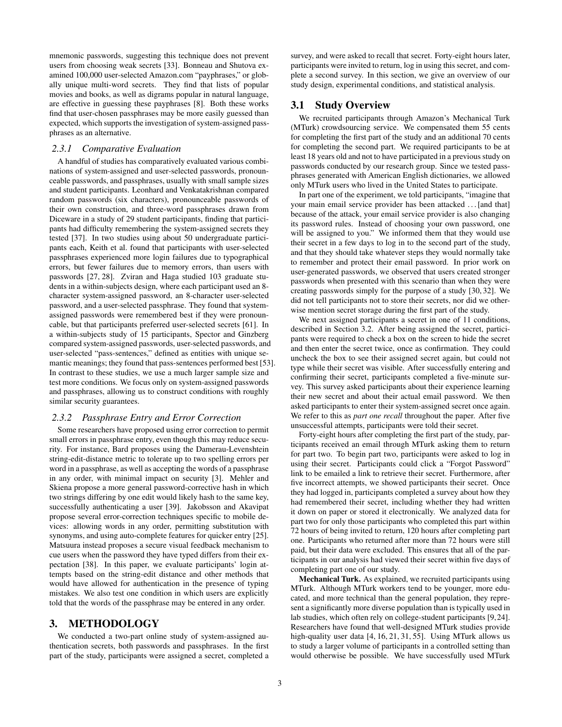mnemonic passwords, suggesting this technique does not prevent users from choosing weak secrets [33]. Bonneau and Shutova examined 100,000 user-selected Amazon.com "payphrases," or globally unique multi-word secrets. They find that lists of popular movies and books, as well as digrams popular in natural language, are effective in guessing these payphrases [8]. Both these works find that user-chosen passphrases may be more easily guessed than expected, which supports the investigation of system-assigned passphrases as an alternative.

#### *2.3.1 Comparative Evaluation*

A handful of studies has comparatively evaluated various combinations of system-assigned and user-selected passwords, pronounceable passwords, and passphrases, usually with small sample sizes and student participants. Leonhard and Venkatakrishnan compared random passwords (six characters), pronounceable passwords of their own construction, and three-word passphrases drawn from Diceware in a study of 29 student participants, finding that participants had difficulty remembering the system-assigned secrets they tested [37]. In two studies using about 50 undergraduate participants each, Keith et al. found that participants with user-selected passphrases experienced more login failures due to typographical errors, but fewer failures due to memory errors, than users with passwords [27, 28]. Zviran and Haga studied 103 graduate students in a within-subjects design, where each participant used an 8 character system-assigned password, an 8-character user-selected password, and a user-selected passphrase. They found that systemassigned passwords were remembered best if they were pronouncable, but that participants preferred user-selected secrets [61]. In a within-subjects study of 15 participants, Spector and Ginzberg compared system-assigned passwords, user-selected passwords, and user-selected "pass-sentences," defined as entities with unique semantic meanings; they found that pass-sentences performed best [53]. In contrast to these studies, we use a much larger sample size and test more conditions. We focus only on system-assigned passwords and passphrases, allowing us to construct conditions with roughly similar security guarantees.

#### *2.3.2 Passphrase Entry and Error Correction*

Some researchers have proposed using error correction to permit small errors in passphrase entry, even though this may reduce security. For instance, Bard proposes using the Damerau-Levenshtein string-edit-distance metric to tolerate up to two spelling errors per word in a passphrase, as well as accepting the words of a passphrase in any order, with minimal impact on security [3]. Mehler and Skiena propose a more general password-corrective hash in which two strings differing by one edit would likely hash to the same key, successfully authenticating a user [39]. Jakobsson and Akavipat propose several error-correction techniques specific to mobile devices: allowing words in any order, permitting substitution with synonyms, and using auto-complete features for quicker entry [25]. Matsuura instead proposes a secure visual feedback mechanism to cue users when the password they have typed differs from their expectation [38]. In this paper, we evaluate participants' login attempts based on the string-edit distance and other methods that would have allowed for authentication in the presence of typing mistakes. We also test one condition in which users are explicitly told that the words of the passphrase may be entered in any order.

### 3. METHODOLOGY

We conducted a two-part online study of system-assigned authentication secrets, both passwords and passphrases. In the first part of the study, participants were assigned a secret, completed a survey, and were asked to recall that secret. Forty-eight hours later, participants were invited to return, log in using this secret, and complete a second survey. In this section, we give an overview of our study design, experimental conditions, and statistical analysis.

# 3.1 Study Overview

We recruited participants through Amazon's Mechanical Turk (MTurk) crowdsourcing service. We compensated them 55 cents for completing the first part of the study and an additional 70 cents for completing the second part. We required participants to be at least 18 years old and not to have participated in a previous study on passwords conducted by our research group. Since we tested passphrases generated with American English dictionaries, we allowed only MTurk users who lived in the United States to participate.

In part one of the experiment, we told participants, "imagine that your main email service provider has been attacked ... [and that] because of the attack, your email service provider is also changing its password rules. Instead of choosing your own password, one will be assigned to you." We informed them that they would use their secret in a few days to log in to the second part of the study, and that they should take whatever steps they would normally take to remember and protect their email password. In prior work on user-generated passwords, we observed that users created stronger passwords when presented with this scenario than when they were creating passwords simply for the purpose of a study [30, 32]. We did not tell participants not to store their secrets, nor did we otherwise mention secret storage during the first part of the study.

We next assigned participants a secret in one of 11 conditions, described in Section 3.2. After being assigned the secret, participants were required to check a box on the screen to hide the secret and then enter the secret twice, once as confirmation. They could uncheck the box to see their assigned secret again, but could not type while their secret was visible. After successfully entering and confirming their secret, participants completed a five-minute survey. This survey asked participants about their experience learning their new secret and about their actual email password. We then asked participants to enter their system-assigned secret once again. We refer to this as *part one recall* throughout the paper. After five unsuccessful attempts, participants were told their secret.

Forty-eight hours after completing the first part of the study, participants received an email through MTurk asking them to return for part two. To begin part two, participants were asked to log in using their secret. Participants could click a "Forgot Password" link to be emailed a link to retrieve their secret. Furthermore, after five incorrect attempts, we showed participants their secret. Once they had logged in, participants completed a survey about how they had remembered their secret, including whether they had written it down on paper or stored it electronically. We analyzed data for part two for only those participants who completed this part within 72 hours of being invited to return, 120 hours after completing part one. Participants who returned after more than 72 hours were still paid, but their data were excluded. This ensures that all of the participants in our analysis had viewed their secret within five days of completing part one of our study.

Mechanical Turk. As explained, we recruited participants using MTurk. Although MTurk workers tend to be younger, more educated, and more technical than the general population, they represent a significantly more diverse population than is typically used in lab studies, which often rely on college-student participants [9,24]. Researchers have found that well-designed MTurk studies provide high-quality user data [4, 16, 21, 31, 55]. Using MTurk allows us to study a larger volume of participants in a controlled setting than would otherwise be possible. We have successfully used MTurk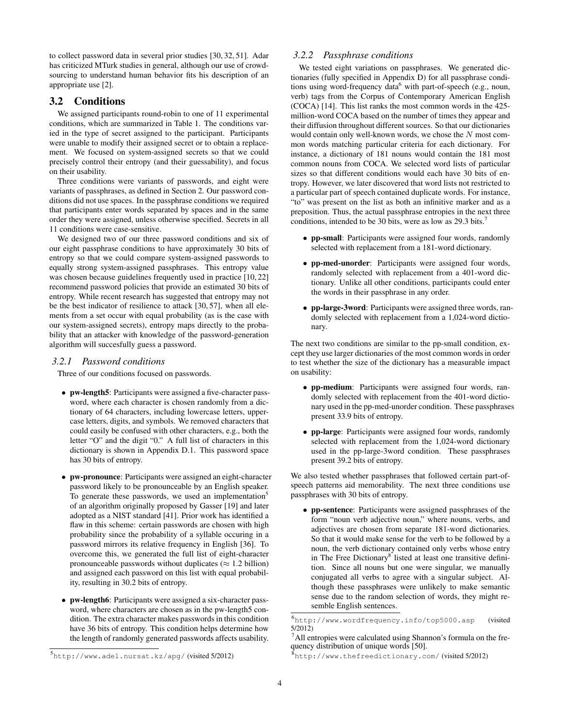to collect password data in several prior studies [30, 32, 51]. Adar has criticized MTurk studies in general, although our use of crowdsourcing to understand human behavior fits his description of an appropriate use [2].

## 3.2 Conditions

We assigned participants round-robin to one of 11 experimental conditions, which are summarized in Table 1. The conditions varied in the type of secret assigned to the participant. Participants were unable to modify their assigned secret or to obtain a replacement. We focused on system-assigned secrets so that we could precisely control their entropy (and their guessability), and focus on their usability.

Three conditions were variants of passwords, and eight were variants of passphrases, as defined in Section 2. Our password conditions did not use spaces. In the passphrase conditions we required that participants enter words separated by spaces and in the same order they were assigned, unless otherwise specified. Secrets in all 11 conditions were case-sensitive.

We designed two of our three password conditions and six of our eight passphrase conditions to have approximately 30 bits of entropy so that we could compare system-assigned passwords to equally strong system-assigned passphrases. This entropy value was chosen because guidelines frequently used in practice [10, 22] recommend password policies that provide an estimated 30 bits of entropy. While recent research has suggested that entropy may not be the best indicator of resilience to attack [30, 57], when all elements from a set occur with equal probability (as is the case with our system-assigned secrets), entropy maps directly to the probability that an attacker with knowledge of the password-generation algorithm will succesfully guess a password.

#### *3.2.1 Password conditions*

Three of our conditions focused on passwords.

- pw-length5: Participants were assigned a five-character password, where each character is chosen randomly from a dictionary of 64 characters, including lowercase letters, uppercase letters, digits, and symbols. We removed characters that could easily be confused with other characters, e.g., both the letter "O" and the digit "0." A full list of characters in this dictionary is shown in Appendix D.1. This password space has 30 bits of entropy.
- pw-pronounce: Participants were assigned an eight-character password likely to be pronounceable by an English speaker. To generate these passwords, we used an implementation<sup>5</sup> of an algorithm originally proposed by Gasser [19] and later adopted as a NIST standard [41]. Prior work has identified a flaw in this scheme: certain passwords are chosen with high probability since the probability of a syllable occuring in a password mirrors its relative frequency in English [36]. To overcome this, we generated the full list of eight-character pronounceable passwords without duplicates ( $\approx 1.2$  billion) and assigned each password on this list with equal probability, resulting in 30.2 bits of entropy.
- pw-length6: Participants were assigned a six-character password, where characters are chosen as in the pw-length5 condition. The extra character makes passwords in this condition have 36 bits of entropy. This condition helps determine how the length of randomly generated passwords affects usability.

#### *3.2.2 Passphrase conditions*

We tested eight variations on passphrases. We generated dictionaries (fully specified in Appendix D) for all passphrase conditions using word-frequency data<sup>6</sup> with part-of-speech (e.g., noun, verb) tags from the Corpus of Contemporary American English (COCA) [14]. This list ranks the most common words in the 425 million-word COCA based on the number of times they appear and their diffusion throughout different sources. So that our dictionaries would contain only well-known words, we chose the N most common words matching particular criteria for each dictionary. For instance, a dictionary of 181 nouns would contain the 181 most common nouns from COCA. We selected word lists of particular sizes so that different conditions would each have 30 bits of entropy. However, we later discovered that word lists not restricted to a particular part of speech contained duplicate words. For instance, "to" was present on the list as both an infinitive marker and as a preposition. Thus, the actual passphrase entropies in the next three conditions, intended to be 30 bits, were as low as 29.3 bits.<sup>7</sup>

- pp-small: Participants were assigned four words, randomly selected with replacement from a 181-word dictionary.
- pp-med-unorder: Participants were assigned four words, randomly selected with replacement from a 401-word dictionary. Unlike all other conditions, participants could enter the words in their passphrase in any order.
- pp-large-3word: Participants were assigned three words, randomly selected with replacement from a 1,024-word dictionary.

The next two conditions are similar to the pp-small condition, except they use larger dictionaries of the most common words in order to test whether the size of the dictionary has a measurable impact on usability:

- pp-medium: Participants were assigned four words, randomly selected with replacement from the 401-word dictionary used in the pp-med-unorder condition. These passphrases present 33.9 bits of entropy.
- pp-large: Participants were assigned four words, randomly selected with replacement from the 1,024-word dictionary used in the pp-large-3word condition. These passphrases present 39.2 bits of entropy.

We also tested whether passphrases that followed certain part-ofspeech patterns aid memorability. The next three conditions use passphrases with 30 bits of entropy.

• pp-sentence: Participants were assigned passphrases of the form "noun verb adjective noun," where nouns, verbs, and adjectives are chosen from separate 181-word dictionaries. So that it would make sense for the verb to be followed by a noun, the verb dictionary contained only verbs whose entry in The Free Dictionary<sup>8</sup> listed at least one transitive definition. Since all nouns but one were singular, we manually conjugated all verbs to agree with a singular subject. Although these passphrases were unlikely to make semantic sense due to the random selection of words, they might resemble English sentences.

<sup>5</sup> http://www.adel.nursat.kz/apg/ (visited 5/2012)

<sup>6</sup> http://www.wordfrequency.info/top5000.asp (visited 5/2012)

 $^7$ All entropies were calculated using Shannon's formula on the frequency distribution of unique words [50].

 $^{\overline{8}}$ http://www.thefreedictionary.com/(visited 5/2012)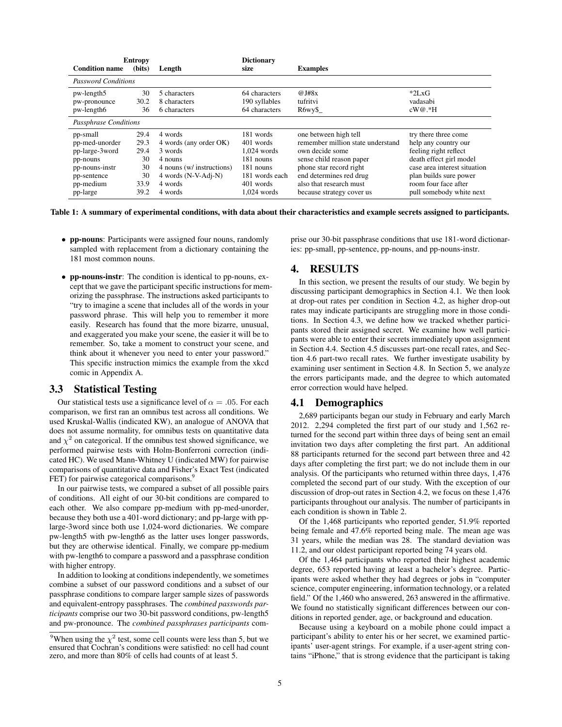|                              | <b>Entropy</b> |                           | <b>Dictionary</b> |                                   |                              |
|------------------------------|----------------|---------------------------|-------------------|-----------------------------------|------------------------------|
| <b>Condition name</b>        | (bits)         | Length                    | size              | <b>Examples</b>                   |                              |
| <b>Password Conditions</b>   |                |                           |                   |                                   |                              |
| pw-length5                   | 30             | 5 characters              | 64 characters     | @J#8x                             | $*2LxG$                      |
| pw-pronounce                 | 30.2           | 8 characters              | 190 syllables     | tufritvi                          | vadasabi                     |
| pw-length6                   | 36             | 6 characters              | 64 characters     | $R6wy\$                           | $cW@.*H$                     |
| <b>Passphrase Conditions</b> |                |                           |                   |                                   |                              |
| pp-small                     | 29.4           | 4 words                   | 181 words         | one between high tell             | try there three come         |
| pp-med-unorder               | 29.3           | 4 words (any order OK)    | 401 words         | remember million state understand | help any country our         |
| pp-large-3word               | 29.4           | 3 words                   | $1.024$ words     | own decide some                   | feeling right reflect        |
| pp-nouns                     | 30             | 4 nouns                   | 181 nouns         | sense child reason paper          | death effect girl model      |
| pp-nouns-instr               | 30             | 4 nouns (w/ instructions) | 181 nouns         | phone star record right           | case area interest situation |
| pp-sentence                  | 30             | $4$ words $(N-V-Adj-N)$   | 181 words each    | end determines red drug           | plan builds sure power       |
| pp-medium                    | 33.9           | 4 words                   | 401 words         | also that research must           | room four face after         |
| pp-large                     | 39.2           | 4 words                   | $1.024$ words     | because strategy cover us         | pull somebody white next     |

Table 1: A summary of experimental conditions, with data about their characteristics and example secrets assigned to participants.

- **pp-nouns**: Participants were assigned four nouns, randomly sampled with replacement from a dictionary containing the 181 most common nouns.
- pp-nouns-instr: The condition is identical to pp-nouns, except that we gave the participant specific instructions for memorizing the passphrase. The instructions asked participants to "try to imagine a scene that includes all of the words in your password phrase. This will help you to remember it more easily. Research has found that the more bizarre, unusual, and exaggerated you make your scene, the easier it will be to remember. So, take a moment to construct your scene, and think about it whenever you need to enter your password." This specific instruction mimics the example from the xkcd comic in Appendix A.

#### 3.3 Statistical Testing

Our statistical tests use a significance level of  $\alpha = .05$ . For each comparison, we first ran an omnibus test across all conditions. We used Kruskal-Wallis (indicated KW), an analogue of ANOVA that does not assume normality, for omnibus tests on quantitative data and  $\chi^2$  on categorical. If the omnibus test showed significance, we performed pairwise tests with Holm-Bonferroni correction (indicated HC). We used Mann-Whitney U (indicated MW) for pairwise comparisons of quantitative data and Fisher's Exact Test (indicated FET) for pairwise categorical comparisons.<sup>9</sup>

In our pairwise tests, we compared a subset of all possible pairs of conditions. All eight of our 30-bit conditions are compared to each other. We also compare pp-medium with pp-med-unorder, because they both use a 401-word dictionary; and pp-large with pplarge-3word since both use 1,024-word dictionaries. We compare pw-length5 with pw-length6 as the latter uses longer passwords, but they are otherwise identical. Finally, we compare pp-medium with pw-length6 to compare a password and a passphrase condition with higher entropy.

In addition to looking at conditions independently, we sometimes combine a subset of our password conditions and a subset of our passphrase conditions to compare larger sample sizes of passwords and equivalent-entropy passphrases. The *combined passwords participants* comprise our two 30-bit password conditions, pw-length5 and pw-pronounce. The *combined passphrases participants* comprise our 30-bit passphrase conditions that use 181-word dictionaries: pp-small, pp-sentence, pp-nouns, and pp-nouns-instr.

#### 4. RESULTS

In this section, we present the results of our study. We begin by discussing participant demographics in Section 4.1. We then look at drop-out rates per condition in Section 4.2, as higher drop-out rates may indicate participants are struggling more in those conditions. In Section 4.3, we define how we tracked whether participants stored their assigned secret. We examine how well participants were able to enter their secrets immediately upon assignment in Section 4.4. Section 4.5 discusses part-one recall rates, and Section 4.6 part-two recall rates. We further investigate usability by examining user sentiment in Section 4.8. In Section 5, we analyze the errors participants made, and the degree to which automated error correction would have helped.

## 4.1 Demographics

2,689 participants began our study in February and early March 2012. 2,294 completed the first part of our study and 1,562 returned for the second part within three days of being sent an email invitation two days after completing the first part. An additional 88 participants returned for the second part between three and 42 days after completing the first part; we do not include them in our analysis. Of the participants who returned within three days, 1,476 completed the second part of our study. With the exception of our discussion of drop-out rates in Section 4.2, we focus on these 1,476 participants throughout our analysis. The number of participants in each condition is shown in Table 2.

Of the 1,468 participants who reported gender, 51.9% reported being female and 47.6% reported being male. The mean age was 31 years, while the median was 28. The standard deviation was 11.2, and our oldest participant reported being 74 years old.

Of the 1,464 participants who reported their highest academic degree, 653 reported having at least a bachelor's degree. Participants were asked whether they had degrees or jobs in "computer science, computer engineering, information technology, or a related field." Of the 1,460 who answered, 263 answered in the affirmative. We found no statistically significant differences between our conditions in reported gender, age, or background and education.

Because using a keyboard on a mobile phone could impact a participant's ability to enter his or her secret, we examined participants' user-agent strings. For example, if a user-agent string contains "iPhone," that is strong evidence that the participant is taking

<sup>&</sup>lt;sup>9</sup>When using the  $\chi^2$  test, some cell counts were less than 5, but we ensured that Cochran's conditions were satisfied: no cell had count zero, and more than 80% of cells had counts of at least 5.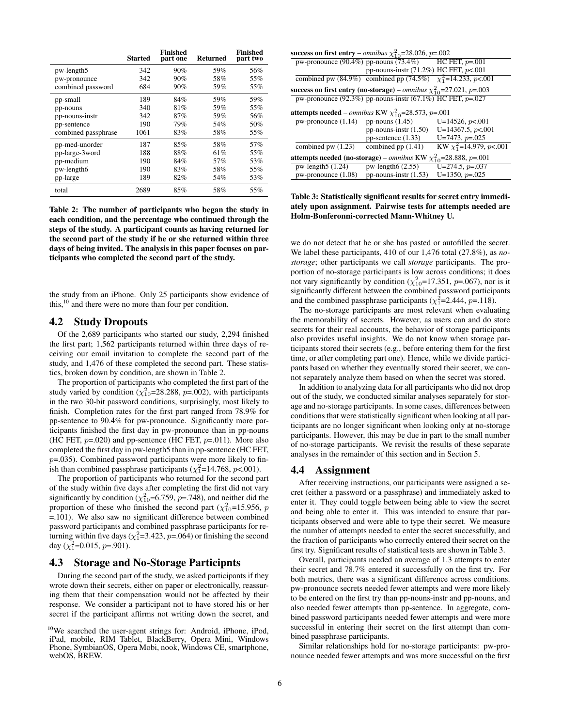|                     | Started | Finished<br>part one | Returned | Finished<br>part two |
|---------------------|---------|----------------------|----------|----------------------|
| pw-length5          | 342     | 90%                  | 59%      | 56%                  |
| pw-pronounce        | 342     | 90%                  | 58%      | 55%                  |
| combined password   | 684     | 90%                  | 59%      | 55%                  |
| pp-small            | 189     | 84%                  | 59%      | 59%                  |
| pp-nouns            | 340     | 81%                  | 59%      | 55%                  |
| pp-nouns-instr      | 342     | 87%                  | 59%      | 56%                  |
| pp-sentence         | 190     | 79%                  | 54%      | 50%                  |
| combined passphrase | 1061    | 83%                  | 58%      | 55%                  |
| pp-med-unorder      | 187     | 85%                  | 58%      | 57%                  |
| pp-large-3word      | 188     | 88%                  | 61%      | 55%                  |
| pp-medium           | 190     | 84%                  | 57%      | 53%                  |
| pw-length6          | 190     | 83%                  | 58%      | 55%                  |
| pp-large            | 189     | 82%                  | 54%      | 53%                  |
| total               | 2689    | 85%                  | 58%      | 55%                  |

Table 2: The number of participants who began the study in each condition, and the percentage who continued through the steps of the study. A participant counts as having returned for the second part of the study if he or she returned within three days of being invited. The analysis in this paper focuses on participants who completed the second part of the study.

the study from an iPhone. Only 25 participants show evidence of this,<sup>10</sup> and there were no more than four per condition.

#### 4.2 Study Dropouts

Of the 2,689 participants who started our study, 2,294 finished the first part; 1,562 participants returned within three days of receiving our email invitation to complete the second part of the study, and 1,476 of these completed the second part. These statistics, broken down by condition, are shown in Table 2.

The proportion of participants who completed the first part of the study varied by condition ( $\chi_{10}^2$ =28.288, p=.002), with participants in the two 30-bit password conditions, surprisingly, most likely to finish. Completion rates for the first part ranged from 78.9% for pp-sentence to 90.4% for pw-pronounce. Significantly more participants finished the first day in pw-pronounce than in pp-nouns (HC FET,  $p=0.020$ ) and pp-sentence (HC FET,  $p=0.011$ ). More also completed the first day in pw-length5 than in pp-sentence (HC FET,  $p=0.035$ ). Combined password participants were more likely to finish than combined passphrase participants ( $\chi_1^2$ =14.768, p<.001).

The proportion of participants who returned for the second part of the study within five days after completing the first did not vary significantly by condition ( $\chi_{10}^2$ =6.759, p=.748), and neither did the proportion of these who finished the second part ( $\chi_{10}^2$ =15.956, p =.101). We also saw no significant difference between combined password participants and combined passphrase participants for returning within five days ( $\chi_1^2$ =3.423, p=.064) or finishing the second day  $(\chi_1^2=0.015, p=.901)$ .

#### 4.3 Storage and No-Storage Participnts

During the second part of the study, we asked participants if they wrote down their secrets, either on paper or electronically, reassuring them that their compensation would not be affected by their response. We consider a participant not to have stored his or her secret if the participant affirms not writing down the secret, and

| success on first entry – <i>omnibus</i> $\chi_{10}^2$ =28.026, <i>p</i> =.002              |                                                                    |                               |  |  |  |  |
|--------------------------------------------------------------------------------------------|--------------------------------------------------------------------|-------------------------------|--|--|--|--|
|                                                                                            | pw-pronounce (90.4%) pp-nouns (73.4%) HC FET, $p=0.01$             |                               |  |  |  |  |
|                                                                                            | pp-nouns-instr $(71.2\%)$ HC FET, $p<.001$                         |                               |  |  |  |  |
|                                                                                            | combined pw (84.9%) combined pp (74.5%) $\chi_1^2$ =14.233, p<.001 |                               |  |  |  |  |
| success on first entry (no-storage) – <i>omnibus</i> $\chi^2_{10}$ =27.021, <i>p</i> =.003 |                                                                    |                               |  |  |  |  |
|                                                                                            | pw-pronounce (92.3%) pp-nouns-instr (67.1%) HC FET, $p=.027$       |                               |  |  |  |  |
| attempts needed – omnibus KW $\chi^2_{10}$ =28.573, p=.001                                 |                                                                    |                               |  |  |  |  |
| $pw$ -pronounce $(1.14)$ pp-nouns $(1.45)$                                                 |                                                                    | $U=14526, p<.001$             |  |  |  |  |
|                                                                                            | pp-nouns-instr $(1.50)$ U=14367.5, p<.001                          |                               |  |  |  |  |
|                                                                                            | $pp$ -sentence $(1.33)$                                            | U=7473, $p=0.025$             |  |  |  |  |
| combined pw $(1.23)$                                                                       | combined pp $(1.41)$                                               | KW $\chi_1^2$ =14.979, p<.001 |  |  |  |  |
| <b>attempts needed (no-storage)</b> – <i>omnibus</i> KW $\chi_{10}^2$ =28.888, p=.001      |                                                                    |                               |  |  |  |  |
| pw-length $5(1.24)$                                                                        | $pw$ -length $6(2.55)$                                             | $U=274.5, p=.037$             |  |  |  |  |
| $pw$ -pronounce $(1.08)$                                                                   | pp-nouns-instr $(1.53)$                                            | U=1350, $p=.025$              |  |  |  |  |

Table 3: Statistically significant results for secret entry immediately upon assignment. Pairwise tests for attempts needed are Holm-Bonferonni-corrected Mann-Whitney U.

we do not detect that he or she has pasted or autofilled the secret. We label these participants, 410 of our 1,476 total (27.8%), as *nostorage*; other participants we call *storage* participants. The proportion of no-storage participants is low across conditions; it does not vary significantly by condition  $(\chi_{10}^2$ =17.351, p=.067), nor is it significantly different between the combined password participants and the combined passphrase participants ( $\chi_1^2$ =2.444, p=.118).

The no-storage participants are most relevant when evaluating the memorability of secrets. However, as users can and do store secrets for their real accounts, the behavior of storage participants also provides useful insights. We do not know when storage participants stored their secrets (e.g., before entering them for the first time, or after completing part one). Hence, while we divide participants based on whether they eventually stored their secret, we cannot separately analyze them based on when the secret was stored.

In addition to analyzing data for all participants who did not drop out of the study, we conducted similar analyses separately for storage and no-storage participants. In some cases, differences between conditions that were statistically significant when looking at all participants are no longer significant when looking only at no-storage participants. However, this may be due in part to the small number of no-storage participants. We revisit the results of these separate analyses in the remainder of this section and in Section 5.

#### 4.4 Assignment

After receiving instructions, our participants were assigned a secret (either a password or a passphrase) and immediately asked to enter it. They could toggle between being able to view the secret and being able to enter it. This was intended to ensure that participants observed and were able to type their secret. We measure the number of attempts needed to enter the secret successfully, and the fraction of participants who correctly entered their secret on the first try. Significant results of statistical tests are shown in Table 3.

Overall, participants needed an average of 1.3 attempts to enter their secret and 78.7% entered it successfully on the first try. For both metrics, there was a significant difference across conditions. pw-pronounce secrets needed fewer attempts and were more likely to be entered on the first try than pp-nouns-instr and pp-nouns, and also needed fewer attempts than pp-sentence. In aggregate, combined password participants needed fewer attempts and were more successful in entering their secret on the first attempt than combined passphrase participants.

Similar relationships hold for no-storage participants: pw-pronounce needed fewer attempts and was more successful on the first

<sup>&</sup>lt;sup>10</sup>We searched the user-agent strings for: Android, iPhone, iPod, iPad, mobile, RIM Tablet, BlackBerry, Opera Mini, Windows Phone, SymbianOS, Opera Mobi, nook, Windows CE, smartphone, webOS, BREW.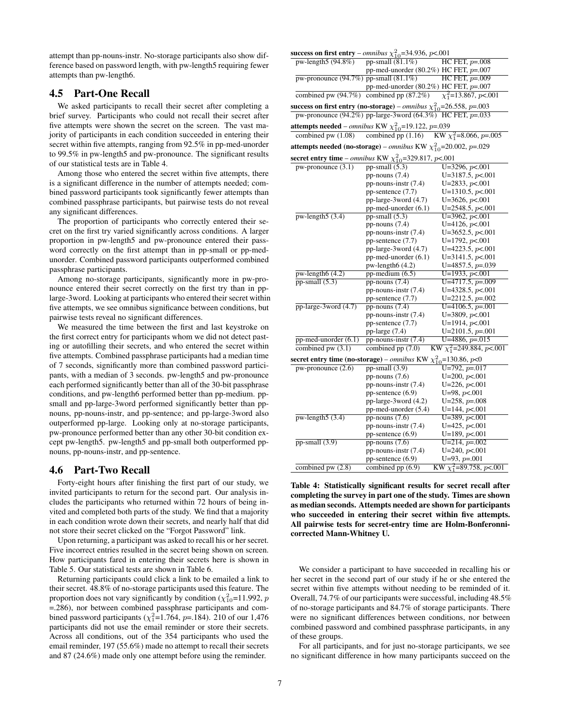attempt than pp-nouns-instr. No-storage participants also show difference based on password length, with pw-length5 requiring fewer attempts than pw-length6.

#### 4.5 Part-One Recall

We asked participants to recall their secret after completing a brief survey. Participants who could not recall their secret after five attempts were shown the secret on the screen. The vast majority of participants in each condition succeeded in entering their secret within five attempts, ranging from 92.5% in pp-med-unorder to 99.5% in pw-length5 and pw-pronounce. The significant results of our statistical tests are in Table 4.

Among those who entered the secret within five attempts, there is a significant difference in the number of attempts needed; combined password participants took significantly fewer attempts than combined passphrase participants, but pairwise tests do not reveal any significant differences.

The proportion of participants who correctly entered their secret on the first try varied significantly across conditions. A larger proportion in pw-length5 and pw-pronounce entered their password correctly on the first attempt than in pp-small or pp-medunorder. Combined password participants outperformed combined passphrase participants.

Among no-storage participants, significantly more in pw-pronounce entered their secret correctly on the first try than in pplarge-3word. Looking at participants who entered their secret within five attempts, we see omnibus significance between conditions, but pairwise tests reveal no significant differences.

We measured the time between the first and last keystroke on the first correct entry for participants whom we did not detect pasting or autofilling their secrets, and who entered the secret within five attempts. Combined passphrase participants had a median time of 7 seconds, significantly more than combined password participants, with a median of 3 seconds. pw-length5 and pw-pronounce each performed significantly better than all of the 30-bit passphrase conditions, and pw-length6 performed better than pp-medium. ppsmall and pp-large-3word performed significantly better than ppnouns, pp-nouns-instr, and pp-sentence; and pp-large-3word also outperformed pp-large. Looking only at no-storage participants, pw-pronounce performed better than any other 30-bit condition except pw-length5. pw-length5 and pp-small both outperformed ppnouns, pp-nouns-instr, and pp-sentence.

#### 4.6 Part-Two Recall

Forty-eight hours after finishing the first part of our study, we invited participants to return for the second part. Our analysis includes the participants who returned within 72 hours of being invited and completed both parts of the study. We find that a majority in each condition wrote down their secrets, and nearly half that did not store their secret clicked on the "Forgot Password" link.

Upon returning, a participant was asked to recall his or her secret. Five incorrect entries resulted in the secret being shown on screen. How participants fared in entering their secrets here is shown in Table 5. Our statistical tests are shown in Table 6.

Returning participants could click a link to be emailed a link to their secret. 48.8% of no-storage participants used this feature. The proportion does not vary significantly by condition ( $\chi_{10}^2$ =11.992, p =.286), nor between combined passphrase participants and combined password participants  $(\chi_1^2=1.764, p=.184)$ . 210 of our 1,476 participants did not use the email reminder or store their secrets. Across all conditions, out of the 354 participants who used the email reminder, 197 (55.6%) made no attempt to recall their secrets and 87 (24.6%) made only one attempt before using the reminder.

|                                                                                         | success on first entry – <i>omnibus</i> $\chi_{10}^2$ =34.936, <i>p</i> <.001              |                            |  |  |  |  |
|-----------------------------------------------------------------------------------------|--------------------------------------------------------------------------------------------|----------------------------|--|--|--|--|
|                                                                                         | pw-length5 (94.8%) pp-small (81.1%) HC FET, $p=0.008$                                      |                            |  |  |  |  |
|                                                                                         | pp-med-unorder $(80.2\%)$ HC FET, $p=.007$                                                 |                            |  |  |  |  |
|                                                                                         | pw-pronounce $(94.7\%)$ pp-small $(81.1\%)$ HC FET, $p=.009$                               |                            |  |  |  |  |
|                                                                                         | pp-med-unorder $(80.2\%)$ HC FET, $p=.007$                                                 |                            |  |  |  |  |
|                                                                                         | combined pw (94.7%) combined pp (87.2%) $\chi_1^2$ =13.867, p<.001                         |                            |  |  |  |  |
|                                                                                         | success on first entry (no-storage) – <i>omnibus</i> $\chi^2_{10}$ =26.558, <i>p</i> =.003 |                            |  |  |  |  |
|                                                                                         | pw-pronounce $(\overline{94.2\%})$ pp-large-3word $(64.3\%)$ HC FET, p=.033                |                            |  |  |  |  |
|                                                                                         | <b>attempts needed</b> – <i>omnibus</i> KW $\chi^2_{10}$ =19.122, <i>p</i> =.039           |                            |  |  |  |  |
|                                                                                         | combined pw (1.08) combined pp (1.16) KW $\chi_1^2$ =8.066, p=.005                         |                            |  |  |  |  |
| <b>attempts needed (no-storage)</b> – <i>omnibus</i> KW $\chi^{2}_{10}$ =20.002, p=.029 |                                                                                            |                            |  |  |  |  |
| secret entry time – <i>omnibus</i> KW $\chi_{10}^2$ =329.817, <i>p</i> <.001            |                                                                                            |                            |  |  |  |  |
|                                                                                         | pw-pronounce $(3.1)$ pp-small $(5.3)$ U=3296, $p<.001$                                     |                            |  |  |  |  |
|                                                                                         | $max_{max}(7 \Delta)$                                                                      | $I = 3187.5$ $n \geq 0.01$ |  |  |  |  |

|                                                                                       | pp-nouns $(7.4)$          | $U=3187.5, p<.001$             |
|---------------------------------------------------------------------------------------|---------------------------|--------------------------------|
|                                                                                       | pp-nouns-instr (7.4)      | U=2833, $p<0.001$              |
|                                                                                       | pp-sentence (7.7)         | U=1310.5, $p<.001$             |
|                                                                                       | pp-large-3word (4.7)      | $U=3626, p<.001$               |
|                                                                                       | $pp$ -med-unorder $(6.1)$ | U=2548.5, $p<.001$             |
| $p$ w-length $5(3.4)$                                                                 | pp-small $(5.3)$          | $U=3962, p<.001$               |
|                                                                                       | pp-nouns $(7.4)$          | U=4126, $p<0.001$              |
|                                                                                       | pp-nouns-instr (7.4)      | $U=3652.5, p<.001$             |
|                                                                                       | pp-sentence (7.7)         | $U=1792, p<.001$               |
|                                                                                       | pp-large-3word (4.7)      | U=4223.5, $p<.001$             |
|                                                                                       | $pp$ -med-unorder $(6.1)$ | $U=3141.5, p<.001$             |
|                                                                                       | $pw$ -length $6(4.2)$     | U=4857.5, $p=0.039$            |
| $pw$ -length $6(4.2)$                                                                 | pp-medium $(6.5)$         | $U=1933, p<.001$               |
| $pp-small(5.3)$                                                                       | pp-nouns $(7.4)$          | $U=4717.5, p=.009$             |
|                                                                                       | pp-nouns-instr (7.4)      | U=4328.5, $p<.001$             |
|                                                                                       | pp-sentence (7.7)         | $U=2212.5, p=.002$             |
| pp-large-3word (4.7)                                                                  | $pp-nouns (7.4)$          | $U=4106.5, p=.001$             |
|                                                                                       | pp-nouns-instr (7.4)      | U=3809, $p<001$                |
|                                                                                       | pp-sentence (7.7)         | U=1914, $p<.001$               |
|                                                                                       | pp-large $(7.4)$          | $U=2101.5, p=.001$             |
| $pp$ -med-unorder $(6.1)$                                                             | pp-nouns-instr $(7.4)$    | $U=4886, p=.015$               |
| combined pw $(3.1)$                                                                   | combined pp $(7.0)$       | KW $\chi_1^2$ =249.884, p<.001 |
| secret entry time (no-storage) – <i>omnibus</i> KW $\chi_{10}^2$ =130.86, <i>p</i> <0 |                           |                                |
| $pw$ -pronounce $(2.6)$                                                               | $pp-small(3.9)$           | $U=792, p=.017$                |
|                                                                                       | pp-nouns $(7.6)$          | $U=200, p<.001$                |
|                                                                                       | pp-nouns-instr (7.4)      | $U=226, p<.001$                |
|                                                                                       | pp-sentence (6.9)         | U=98, $p<.001$                 |
|                                                                                       | pp-large-3word (4.2)      | $U=258, p=.008$                |
|                                                                                       | pp-med-unorder (5.4)      | $U=144, p<.001$                |
| $p$ w-length $5(3.4)$                                                                 | pp-nouns $(7.6)$          | $U=389, p<.001$                |
|                                                                                       | pp-nouns-instr (7.4)      | $U=425, p<.001$                |
|                                                                                       | $pp$ -sentence $(6.9)$    | U=189, $p<.001$                |
| $pp-small(3.9)$                                                                       | pp-nouns $(7.6)$          | $U=214, p=.002$                |
|                                                                                       | pp-nouns-instr (7.4)      | $U=240, p<.001$                |
|                                                                                       | pp-sentence (6.9)         | $U=93, p=.001$                 |
| combined pw $(2.8)$                                                                   | combined pp $(6.9)$       | KW $\chi_1^2$ =89.758, p<.001  |

Table 4: Statistically significant results for secret recall after completing the survey in part one of the study. Times are shown as median seconds. Attempts needed are shown for participants who succeeded in entering their secret within five attempts. All pairwise tests for secret-entry time are Holm-Bonferonnicorrected Mann-Whitney U.

We consider a participant to have succeeded in recalling his or her secret in the second part of our study if he or she entered the secret within five attempts without needing to be reminded of it. Overall, 74.7% of our participants were successful, including 48.5% of no-storage participants and 84.7% of storage participants. There were no significant differences between conditions, nor between combined password and combined passphrase participants, in any of these groups.

For all participants, and for just no-storage participants, we see no significant difference in how many participants succeed on the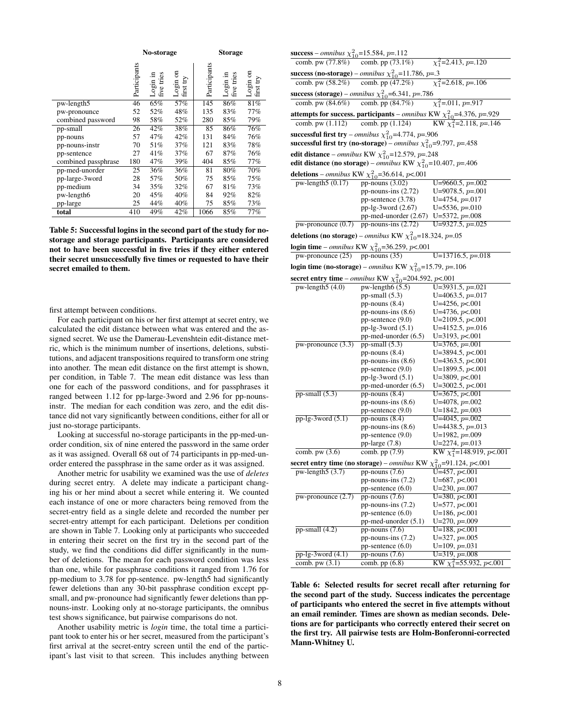|                     |              | No-storage               |                           | <b>Storage</b> |                        |                         |  |
|---------------------|--------------|--------------------------|---------------------------|----------------|------------------------|-------------------------|--|
|                     | Participants | five tries<br>$Login$ in | $\rm Login\;om$ first try | Participants   | Login in<br>five tries | $Login$ on<br>first try |  |
| pw-length5          | 46           | 65%                      | 57%                       | 145            | 86%                    | 81%                     |  |
| pw-pronounce        | 52           | 52%                      | 48%                       | 135            | 83%                    | 77%                     |  |
| combined password   | 98           | 58%                      | 52%                       | 280            | 85%                    | 79%                     |  |
| pp-small            | 26           | 42%                      | 38%                       | 85             | 86%                    | 76%                     |  |
| pp-nouns            | 57           | 47%                      | 42%                       | 131            | 84%                    | 76%                     |  |
| pp-nouns-instr      | 70           | 51%                      | 37%                       | 121            | 83%                    | 78%                     |  |
| pp-sentence         | 27           | 41%                      | 37%                       | 67             | 87%                    | 76%                     |  |
| combined passphrase | 180          | 47%                      | 39%                       | 404            | 85%                    | 77%                     |  |
| pp-med-unorder      | 25           | 36%                      | 36%                       | 81             | 80%                    | 70%                     |  |
| pp-large-3word      | 28           | 57%                      | 50%                       | 75             | 85%                    | 75%                     |  |
| pp-medium           | 34           | 35%                      | 32%                       | 67             | 81%                    | 73%                     |  |
| pw-length6          | 20           | 45%                      | 40%                       | 84             | 92%                    | 82%                     |  |
| pp-large            | 25           | 44%                      | 40%                       | 75             | 85%                    | 73%                     |  |
| total               | 410          | 49%                      | 42%                       | 1066           | 85%                    | 77%                     |  |

Table 5: Successful logins in the second part of the study for nostorage and storage participants. Participants are considered not to have been successful in five tries if they either entered their secret unsuccessfully five times or requested to have their secret emailed to them.

first attempt between conditions.

For each participant on his or her first attempt at secret entry, we calculated the edit distance between what was entered and the assigned secret. We use the Damerau-Levenshtein edit-distance metric, which is the minimum number of insertions, deletions, substitutions, and adjacent transpositions required to transform one string into another. The mean edit distance on the first attempt is shown, per condition, in Table 7. The mean edit distance was less than one for each of the password conditions, and for passphrases it ranged between 1.12 for pp-large-3word and 2.96 for pp-nounsinstr. The median for each condition was zero, and the edit distance did not vary significantly between conditions, either for all or just no-storage participants.

Looking at successful no-storage participants in the pp-med-unorder condition, six of nine entered the password in the same order as it was assigned. Overall 68 out of 74 participants in pp-med-unorder entered the passphrase in the same order as it was assigned.

Another metric for usability we examined was the use of *deletes* during secret entry. A delete may indicate a participant changing his or her mind about a secret while entering it. We counted each instance of one or more characters being removed from the secret-entry field as a single delete and recorded the number per secret-entry attempt for each participant. Deletions per condition are shown in Table 7. Looking only at participants who succeeded in entering their secret on the first try in the second part of the study, we find the conditions did differ significantly in the number of deletions. The mean for each password condition was less than one, while for passphrase conditions it ranged from 1.76 for pp-medium to 3.78 for pp-sentence. pw-length5 had significantly fewer deletions than any 30-bit passphrase condition except ppsmall, and pw-pronounce had significantly fewer deletions than ppnouns-instr. Looking only at no-storage participants, the omnibus test shows significance, but pairwise comparisons do not.

Another usability metric is *login* time, the total time a participant took to enter his or her secret, measured from the participant's first arrival at the secret-entry screen until the end of the participant's last visit to that screen. This includes anything between

| success – <i>omnibus</i> $\chi_{10}^2$ =15.584, <i>p</i> =.112 |                                                                                                                                                                              |                                |
|----------------------------------------------------------------|------------------------------------------------------------------------------------------------------------------------------------------------------------------------------|--------------------------------|
| comb. pw (77.8%)                                               | comb. pp $(73.1\%)$                                                                                                                                                          | $\chi_1^2$ =2.413, p=.120      |
|                                                                | success (no-storage) – <i>omnibus</i> $\chi_{10}^2$ =11.786, <i>p</i> =.3                                                                                                    |                                |
| comb. pw (58.2%)                                               | comb. pp $(47.2\%)$ $\chi_1^2 = 2.618$ , p=.106                                                                                                                              |                                |
|                                                                |                                                                                                                                                                              |                                |
|                                                                |                                                                                                                                                                              |                                |
|                                                                | success (storage) – <i>omnibus</i> $\chi_{10}^2$ =6.341, <i>p</i> =.786<br>comb. pw (84.6%) comb. pp (84.7%) $\chi_1^2$ =.011, <i>p</i> =.917                                |                                |
|                                                                |                                                                                                                                                                              |                                |
|                                                                | <b>attempts for success. participants</b> – <i>omnibus</i> KW $\chi_{10}^2$ =4.376, <i>p</i> =.929<br>comb. pw (1.112) comb. pp (1.124) KW $\chi_1^2$ =2.118, <i>p</i> =.146 |                                |
|                                                                |                                                                                                                                                                              |                                |
|                                                                | successful first try – omnibus $\chi_{10}^2$ =4.774, p=.906                                                                                                                  |                                |
|                                                                | successful first try (no-storage) – <i>omnibus</i> $\chi_{10}^2$ =9.797, p=.458                                                                                              |                                |
|                                                                | edit distance – <i>omnibus</i> KW $\chi_{10}^2$ =12.579, p=.248                                                                                                              |                                |
|                                                                | edit distance (no storage) – omnibus KW $\chi_{10}^2$ =10.407, p=.406                                                                                                        |                                |
|                                                                | deletions – <i>omnibus</i> KW $\chi_{10}^2$ =36.614, <i>p</i> <.001                                                                                                          |                                |
| $pw$ -length $5(0.17)$                                         | pp-nouns $(3.02)$                                                                                                                                                            | $U=9660.5, p=.002$             |
|                                                                | pp-nouns-ins (2.72)                                                                                                                                                          | $U=9078.5, p=.001$             |
|                                                                | pp-sentence $(3.78)$                                                                                                                                                         | $U=4754, p=.017$               |
|                                                                | $pp-lg-3word(2.67)$                                                                                                                                                          | $U=5536, p=.010$               |
|                                                                | pp-med-unorder $(2.67)$ U=5372, $p=0.008$                                                                                                                                    |                                |
| $pw$ -pronounce $(0.7)$                                        | $pp$ -nouns-ins $(2.72)$                                                                                                                                                     | $U=9327.5, p=.025$             |
|                                                                |                                                                                                                                                                              |                                |
|                                                                | deletions (no storage) – omnibus KW $\chi_{10}^2$ =18.324, p=.05                                                                                                             |                                |
|                                                                | login time – <i>omnibus</i> KW $\chi_{10}^2$ =36.259, <i>p</i> <.001                                                                                                         |                                |
| $pw$ -pronounce (25) pp-nouns (35)                             |                                                                                                                                                                              | $U=13716.5, p=.018$            |
|                                                                | <b>login time (no-storage)</b> – <i>omnibus</i> KW $\chi_{10}^2$ =15.79, <i>p</i> =.106                                                                                      |                                |
|                                                                | secret entry time – omnibus KW $\chi_{10}^2$ =204.592, p<.001                                                                                                                |                                |
| pw-length $5(4.0)$                                             | $pw$ -length $6(5.5)$                                                                                                                                                        | $U=3931.5, p=.021$             |
|                                                                | $pp$ -small $(5.3)$                                                                                                                                                          | U=4063.5, $p=017$              |
|                                                                | pp-nouns $(8.4)$                                                                                                                                                             | U=4256, $p<.001$               |
|                                                                | pp-nouns-ins $(8.6)$                                                                                                                                                         | U=4736, $p<.001$               |
|                                                                | $pp$ -sentence $(9.0)$                                                                                                                                                       | U=2109.5, $p<.001$             |
|                                                                | $pp-lg-3word(5.1)$                                                                                                                                                           | $U=4152.5, p=.016$             |
|                                                                | pp-med-unorder (6.5)                                                                                                                                                         | $U=3193, p<.001$               |
| $pw$ -pronounce $(3.3)$                                        | $pp\text{-small}(5.3)$                                                                                                                                                       | $U=3765, p=.001$               |
|                                                                | pp-nouns $(8.4)$                                                                                                                                                             | U=3894.5, $p<.001$             |
|                                                                | pp-nouns-ins $(8.6)$                                                                                                                                                         | U=4363.5, $p<.001$             |
|                                                                | $pp$ -sentence $(9.0)$                                                                                                                                                       | U=1899.5, $p<.001$             |
|                                                                | $pp-lg-3word(5.1)$                                                                                                                                                           | U=3809, $p<.001$               |
|                                                                | pp-med-unorder (6.5)                                                                                                                                                         | $U=3002.5, p<.001$             |
| $pp-small(5.3)$                                                | pp-nouns $(8.4)$                                                                                                                                                             | U=3675, $p<.001$               |
|                                                                | pp-nouns-ins $(8.6)$                                                                                                                                                         | U=4078, $p=.002$               |
|                                                                | pp-sentence (9.0)                                                                                                                                                            | U=1842, $p=0.003$              |
| $pp-lg-3word(5.1)$                                             | pp-nouns $(8.4)$                                                                                                                                                             | U=4045, $p=0.002$              |
|                                                                | pp-nouns-ins $(8.6)$                                                                                                                                                         | U=4438.5, $p=013$              |
|                                                                | $pp$ -sentence $(9.0)$                                                                                                                                                       | $U=1982, p=.009$               |
|                                                                | pp-large (7.8)                                                                                                                                                               | $U=2274, p=.013$               |
| comb. $pw(3.6)$                                                | comb. pp (7.9)                                                                                                                                                               | KW $\chi_1^2$ =148.919, p<.001 |
|                                                                | secret entry time (no storage) – omnibus KW                                                                                                                                  | $\chi_{10}^2$ =91.124, p<.001  |
| pw-length $5(3.7)$                                             | pp-nouns $(7.6)$                                                                                                                                                             | $U=457, p<.001$                |
|                                                                | pp-nouns-ins $(7.2)$                                                                                                                                                         | $U=687, p<.001$                |
|                                                                | $pp$ -sentence $(6.0)$                                                                                                                                                       | $U=230, p=.007$                |
| $pw$ -pronounce $(2.7)$                                        | pp-nouns $(7.6)$                                                                                                                                                             | $U=380, p<.001$                |
|                                                                | pp-nouns-ins $(7.2)$                                                                                                                                                         | $U=577, p<.001$                |
|                                                                | pp-sentence (6.0)                                                                                                                                                            | $U=186, p<.001$                |
|                                                                | pp-med-unorder (5.1)                                                                                                                                                         | $U=270, p=.009$                |
| $pp\t{-small(4.2)}$                                            | pp-nouns $(7.6)$                                                                                                                                                             | U=188, $p<.001$                |
|                                                                | pp-nouns-ins $(7.2)$                                                                                                                                                         | $U=327, p=.005$                |
|                                                                | pp-sentence $(6.0)$                                                                                                                                                          | $U=109, p=.031$                |
| $pp-lg-3word(4.1)$                                             | pp-nouns $(7.6)$                                                                                                                                                             | $U=319, p=.008$                |
| comb. pw $(3.1)$                                               | comb. $pp(6.8)$                                                                                                                                                              | KW $\chi_1^2$ =55.932, p<.001  |

Table 6: Selected results for secret recall after returning for the second part of the study. Success indicates the percentage of participants who entered the secret in five attempts without an email reminder. Times are shown as median seconds. Deletions are for participants who correctly entered their secret on the first try. All pairwise tests are Holm-Bonferonni-corrected Mann-Whitney U.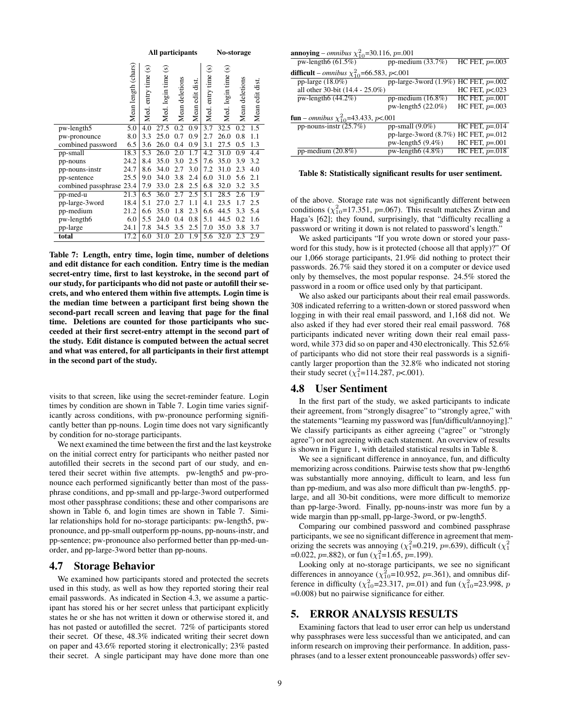|                          |                     |                           | All participants     |                |                 |                                                | No-storage                     |                |                 |  |
|--------------------------|---------------------|---------------------------|----------------------|----------------|-----------------|------------------------------------------------|--------------------------------|----------------|-----------------|--|
|                          | Mean length (chars) | ত্ত<br>entry time<br>Med. | ⊛<br>Med. login time | Mean deletions | Mean edit dist. | $\widetilde{\mathbf{s}}$<br>entry time<br>Med. | $\circleds$<br>Med. login time | Mean deletions | Mean edit dist. |  |
| pw-length5               | 5.0                 | 4.0                       | 27.5                 | 0.2            | 0.9             | 3.7                                            | 32.5                           | 0.2            | 1.5             |  |
| pw-pronounce             | 8.0                 | 3.3                       | 25.0                 | 0.7            | 0.9             | 2.7                                            | 26.0                           | 0.8            | 1.1             |  |
| combined password        | 6.5                 | 3.6                       | 26.0                 | 0.4            | 0.9             | 3.1                                            | 27.5                           | 0.5            | 1.3             |  |
| pp-small                 | 18.3                | 5.3                       | 26.0                 | 2.0            | 1.7             | 4.2                                            | 31.0                           | 0.9            | 4.4             |  |
| pp-nouns                 | 24.2                | 8.4                       | 35.0                 | 3.0            | 2.5             | 7.6                                            | 35.0                           | 3.9            | 3.2             |  |
| pp-nouns-instr           | 24.7                | 8.6                       | 34.0                 | 2.7            | 3.0             | 7.2                                            | 31.0                           | 2.3            | 4.0             |  |
| pp-sentence              | 25.5                | 9.0                       | 34.0                 | 3.8            | 2.4             | 6.0                                            | 31.0                           | 5.6            | 2.1             |  |
| combined passphrase 23.4 |                     | 7.9                       | 33.0                 | 2.8            | 2.5             | 6.8                                            | 32.0                           | 3.2            | 3.5             |  |
| pp-med-u                 | 21.3                | 6.5                       | 36.0                 | 2.7            | 2.5             | 5.1                                            | 28.5                           | 2.6            | 1.9             |  |
| pp-large-3word           | 18.4                | 5.1                       | 27.0                 | 2.7            | 1.1             | 4.1                                            | 23.5                           | 1.7            | 2.5             |  |
| pp-medium                | 21.2                | 6.6                       | 35.0                 | 1.8            | 2.3             | 6.6                                            | 44.5                           | 3.3            | 5.4             |  |
| pw-length6               | 6.0                 | 5.5                       | 24.0                 | 0.4            | 0.8             | 5.1                                            | 44.5                           | 0.2            | 1.6             |  |
| pp-large                 | 24.1                | 7.8                       | 34.5                 | 3.5            | 2.5             | 7.0                                            | 35.0                           | 3.8            | 3.7             |  |
| total                    | 17.2                | 6.0                       | 31.0                 | 2.0            | 1.9             | 5.6                                            | 32.0                           | 2.3            | 2.9             |  |

Table 7: Length, entry time, login time, number of deletions and edit distance for each condition. Entry time is the median secret-entry time, first to last keystroke, in the second part of our study, for participants who did not paste or autofill their secrets, and who entered them within five attempts. Login time is the median time between a participant first being shown the second-part recall screen and leaving that page for the final time. Deletions are counted for those participants who succeeded at their first secret-entry attempt in the second part of the study. Edit distance is computed between the actual secret and what was entered, for all participants in their first attempt in the second part of the study.

visits to that screen, like using the secret-reminder feature. Login times by condition are shown in Table 7. Login time varies significantly across conditions, with pw-pronounce performing significantly better than pp-nouns. Login time does not vary significantly by condition for no-storage participants.

We next examined the time between the first and the last keystroke on the initial correct entry for participants who neither pasted nor autofilled their secrets in the second part of our study, and entered their secret within five attempts. pw-length5 and pw-pronounce each performed significantly better than most of the passphrase conditions, and pp-small and pp-large-3word outperformed most other passphrase conditions; these and other comparisons are shown in Table 6, and login times are shown in Table 7. Similar relationships hold for no-storage participants: pw-length5, pwpronounce, and pp-small outperform pp-nouns, pp-nouns-instr, and pp-sentence; pw-pronounce also performed better than pp-med-unorder, and pp-large-3word better than pp-nouns.

#### 4.7 Storage Behavior

We examined how participants stored and protected the secrets used in this study, as well as how they reported storing their real email passwords. As indicated in Section 4.3, we assume a participant has stored his or her secret unless that participant explicitly states he or she has not written it down or otherwise stored it, and has not pasted or autofilled the secret. 72% of participants stored their secret. Of these, 48.3% indicated writing their secret down on paper and 43.6% reported storing it electronically; 23% pasted their secret. A single participant may have done more than one

| <b>annoying</b> – <i>omnibus</i> $\chi^{2}_{10}$ =30.116, p=.001        |                                           |                   |  |  |  |  |  |  |
|-------------------------------------------------------------------------|-------------------------------------------|-------------------|--|--|--|--|--|--|
| pw-length $6(61.5\%)$                                                   | pp-medium $(33.7%)$                       | HC FET, $p=.003$  |  |  |  |  |  |  |
| <b>difficult</b> – <i>omnibus</i> $\chi_{10}^2$ =66.583, <i>p</i> <.001 |                                           |                   |  |  |  |  |  |  |
| pp-large $(18.0\%)$                                                     | pp-large-3word $(1.9\%)$ HC FET, $p=.002$ |                   |  |  |  |  |  |  |
| all other 30-bit (14.4 - 25.0%)                                         |                                           | HC FET, $p<.023$  |  |  |  |  |  |  |
| $p$ w-length $6(44.2\%)$                                                | pp-medium $(16.8\%)$                      | $HC$ FET, $p=001$ |  |  |  |  |  |  |
|                                                                         | pw-length $5(22.0\%)$                     | HC FET, $p=.003$  |  |  |  |  |  |  |
| <b>fun</b> – <i>omnibus</i> $\chi_{10}^2$ =43.433, <i>p</i> <.001       |                                           |                   |  |  |  |  |  |  |
| pp-nouns-instr $(25.7%)$                                                | pp-small $(9.0\%)$                        | HC FET, $p=.014$  |  |  |  |  |  |  |
|                                                                         | pp-large-3word $(8.7%)$ HC FET, $p=.012$  |                   |  |  |  |  |  |  |
|                                                                         | pw-length $5(9.4\%)$                      | HC FET, $p=.001$  |  |  |  |  |  |  |
| pp-medium $(20.8\%)$                                                    | pw-length $6(4.8\%)$                      | HC FET, $p=.018$  |  |  |  |  |  |  |

#### Table 8: Statistically significant results for user sentiment.

of the above. Storage rate was not significantly different between conditions ( $\chi_{10}^2$ =17.351, p=.067). This result matches Zviran and Haga's [62]; they found, surprisingly, that "difficulty recalling a password or writing it down is not related to password's length."

We asked participants "If you wrote down or stored your password for this study, how is it protected (choose all that apply)?" Of our 1,066 storage participants, 21.9% did nothing to protect their passwords. 26.7% said they stored it on a computer or device used only by themselves, the most popular response. 24.5% stored the password in a room or office used only by that participant.

We also asked our participants about their real email passwords. 308 indicated referring to a written-down or stored password when logging in with their real email password, and 1,168 did not. We also asked if they had ever stored their real email password. 768 participants indicated never writing down their real email password, while 373 did so on paper and 430 electronically. This 52.6% of participants who did not store their real passwords is a significantly larger proportion than the 32.8% who indicated not storing their study secret  $(\chi_1^2 = 114.287, p < .001)$ .

#### 4.8 User Sentiment

In the first part of the study, we asked participants to indicate their agreement, from "strongly disagree" to "strongly agree," with the statements "learning my password was [fun/difficult/annoying]." We classify participants as either agreeing ("agree" or "strongly agree") or not agreeing with each statement. An overview of results is shown in Figure 1, with detailed statistical results in Table 8.

We see a significant difference in annoyance, fun, and difficulty memorizing across conditions. Pairwise tests show that pw-length6 was substantially more annoying, difficult to learn, and less fun than pp-medium, and was also more difficult than pw-length5. pplarge, and all 30-bit conditions, were more difficult to memorize than pp-large-3word. Finally, pp-nouns-instr was more fun by a wide margin than pp-small, pp-large-3word, or pw-length5.

Comparing our combined password and combined passphrase participants, we see no significant difference in agreement that memorizing the secrets was annoying ( $\chi_1^2$ =0.219, p=.639), difficult ( $\chi_1^2$  $=0.022, p=.882$ , or fun ( $\chi_1^2=1.65, p=.199$ ).

Looking only at no-storage participants, we see no significant differences in annoyance  $(\chi_{10}^2$ =10.952, p=.361), and omnibus difference in difficulty ( $\chi_{10}^2$ =23.317, p=.01) and fun ( $\chi_{10}^2$ =23.998, p =0.008) but no pairwise significance for either.

## 5. ERROR ANALYSIS RESULTS

Examining factors that lead to user error can help us understand why passphrases were less successful than we anticipated, and can inform research on improving their performance. In addition, passphrases (and to a lesser extent pronounceable passwords) offer sev-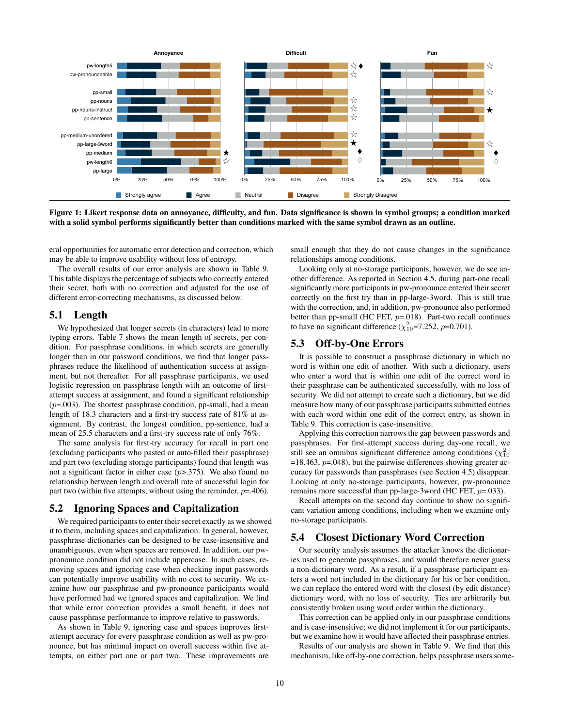

Figure 1: Likert response data on annoyance, difficulty, and fun. Data significance is shown in symbol groups; a condition marked with a solid symbol performs significantly better than conditions marked with the same symbol drawn as an outline.

eral opportunities for automatic error detection and correction, which may be able to improve usability without loss of entropy.

The overall results of our error analysis are shown in Table 9. This table displays the percentage of subjects who correctly entered their secret, both with no correction and adjusted for the use of different error-correcting mechanisms, as discussed below.

#### 5.1 Length

We hypothesized that longer secrets (in characters) lead to more typing errors. Table 7 shows the mean length of secrets, per condition. For passphrase conditions, in which secrets are generally longer than in our password conditions, we find that longer passphrases reduce the likelihood of authentication success at assignment, but not thereafter. For all passphrase participants, we used logistic regression on passphrase length with an outcome of firstattempt success at assignment, and found a significant relationship  $(p=.003)$ . The shortest passphrase condition, pp-small, had a mean length of 18.3 characters and a first-try success rate of 81% at assignment. By contrast, the longest condition, pp-sentence, had a mean of 25.5 characters and a first-try success rate of only 76%.

The same analysis for first-try accuracy for recall in part one (excluding participants who pasted or auto-filled their passphrase) and part two (excluding storage participants) found that length was not a significant factor in either case  $(p>0.375)$ . We also found no relationship between length and overall rate of successful login for part two (within five attempts, without using the reminder,  $p=406$ ).

### 5.2 Ignoring Spaces and Capitalization

We required participants to enter their secret exactly as we showed it to them, including spaces and capitalization. In general, however, passphrase dictionaries can be designed to be case-insensitive and unambiguous, even when spaces are removed. In addition, our pwpronounce condition did not include uppercase. In such cases, removing spaces and ignoring case when checking input passwords can potentially improve usability with no cost to security. We examine how our passphrase and pw-pronounce participants would have performed had we ignored spaces and capitalization. We find that while error correction provides a small benefit, it does not cause passphrase performance to improve relative to passwords.

As shown in Table 9, ignoring case and spaces improves firstattempt accuracy for every passphrase condition as well as pw-pronounce, but has minimal impact on overall success within five attempts, on either part one or part two. These improvements are small enough that they do not cause changes in the significance relationships among conditions.

Looking only at no-storage participants, however, we do see another difference. As reported in Section 4.5, during part-one recall significantly more participants in pw-pronounce entered their secret correctly on the first try than in pp-large-3word. This is still true with the correction, and, in addition, pw-pronounce also performed better than pp-small (HC FET,  $p=018$ ). Part-two recall continues to have no significant difference  $(\chi_{10}^2$ =7.252, p=0.701).

#### 5.3 Off-by-One Errors

It is possible to construct a passphrase dictionary in which no word is within one edit of another. With such a dictionary, users who enter a word that is within one edit of the correct word in their passphrase can be authenticated successfully, with no loss of security. We did not attempt to create such a dictionary, but we did measure how many of our passphrase participants submitted entries with each word within one edit of the correct entry, as shown in Table 9. This correction is case-insensitive.

Applying this correction narrows the gap between passwords and passphrases. For first-attempt success during day-one recall, we still see an omnibus significant difference among conditions  $(\chi_{10}^2)$  $=18.463$ ,  $p=.048$ ), but the pairwise differences showing greater accuracy for passwords than passphrases (see Section 4.5) disappear. Looking at only no-storage participants, however, pw-pronounce remains more successful than pp-large-3word (HC FET,  $p=0.033$ ).

Recall attempts on the second day continue to show no significant variation among conditions, including when we examine only no-storage participants.

#### 5.4 Closest Dictionary Word Correction

Our security analysis assumes the attacker knows the dictionaries used to generate passphrases, and would therefore never guess a non-dictionary word. As a result, if a passphrase participant enters a word not included in the dictionary for his or her condition, we can replace the entered word with the closest (by edit distance) dictionary word, with no loss of security. Ties are arbitrarily but consistently broken using word order within the dictionary.

This correction can be applied only in our passphrase conditions and is case-insensitive; we did not implement it for our participants, but we examine how it would have affected their passphrase entries.

Results of our analysis are shown in Table 9. We find that this mechanism, like off-by-one correction, helps passphrase users some-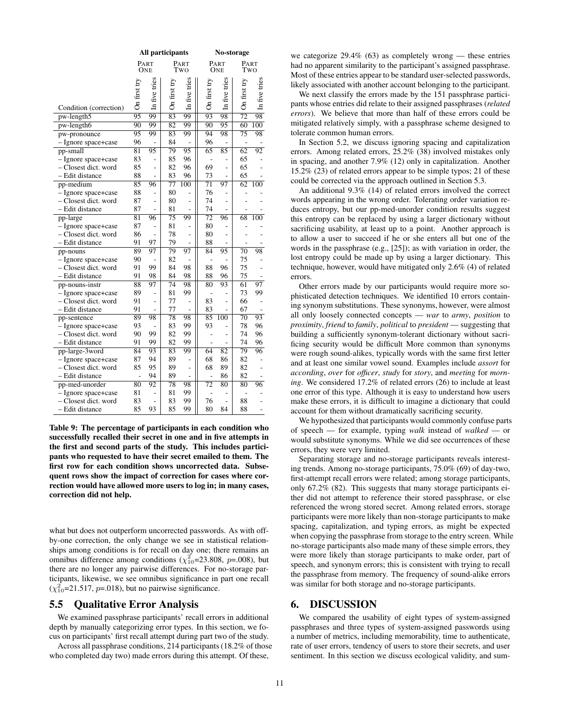|                        | All participants   |                 |                 |               | <b>No-storage</b> |                    |                 |                  |
|------------------------|--------------------|-----------------|-----------------|---------------|-------------------|--------------------|-----------------|------------------|
|                        | Part<br><b>ONE</b> |                 |                 | Part<br>Two   |                   | PART<br><b>ONE</b> | PART<br>Two     |                  |
| Condition (correction) | On first try       | five tries<br>크 | È<br>On first   | In five tries | E<br>first<br>ව්  | five tries<br>크    | E<br>On first   | In five tries    |
| pw-length5             | 95                 | 99              | $\overline{83}$ | 99            | 93                | 98                 | $\overline{72}$ | 98               |
| pw-length6             | 90                 | 99              | $\overline{82}$ | 99            | $\overline{90}$   | 95                 | $\overline{60}$ | $\overline{100}$ |
| pw-pronounce           | $\overline{95}$    | 99              | 83              | 99            | 94                | 98                 | $\overline{75}$ | 98               |
| - Ignore space+case    | 96                 |                 | 84              |               | 96                |                    |                 |                  |
| pp-small               | 81                 | 95              | 79              | 95            | 65                | 85                 | $\overline{62}$ | 92               |
| - Ignore space+case    | 83                 | $\overline{a}$  | 85              | 96            |                   | $\overline{a}$     | 65              |                  |
| – Closest dict. word   | 85                 |                 | 82              | 96            | 69                |                    | 65              |                  |
| - Edit distance        | 88                 | $\overline{a}$  | 83              | 96            | 73                | -                  | 65              |                  |
| pp-medium              | 85                 | 96              | 77              | 100           | 71                | 97                 | 62              | 100              |
| - Ignore space+case    | 88                 | L,              | 80              |               | 76                |                    |                 |                  |
| - Closest dict. word   | 87                 |                 | 80              |               | 74                |                    |                 |                  |
| - Edit distance        | 87                 | $\overline{a}$  | 81              |               | 74                |                    |                 |                  |
| pp-large               | 81                 | 96              | 75              | 99            | $\overline{72}$   | $\overline{9}6$    | $\overline{68}$ | 100              |
| - Ignore space+case    | 87                 | L               | 81              | L             | 80                | L,                 |                 |                  |
| - Closest dict. word   | 86                 |                 | 78              |               | 80                |                    |                 |                  |
| - Edit distance        | 91                 | 97              | 79              | -             | 88                | $\overline{a}$     |                 |                  |
| pp-nouns               | 89                 | 97              | 79              | 97            | 84                | 95                 | 70              | 98               |
| - Ignore space+case    | 90                 |                 | 82              |               |                   |                    | 75              |                  |
| - Closest dict. word   | 91                 | 99              | 84              | 98            | 88                | 96                 | 75              |                  |
| - Edit distance        | 91                 | 98              | 84              | 98            | 88                | 96                 | 75              |                  |
| pp-nouns-instr         | 88                 | 97              | 74              | 98            | 80                | 93                 | 61              | $\overline{97}$  |
| - Ignore space+case    | 89                 | L               | 81              | 99            |                   |                    | 73              | 99               |
| - Closest dict. word   | 91                 | ٠               | 77              |               | 83                |                    | 66              |                  |
| - Edit distance        | 91                 |                 | 77              |               | 83                |                    | 67              |                  |
| pp-sentence            | 89                 | 98              | 78              | 98            | 85                | 100                | 70              | 93               |
| - Ignore space+case    | 93                 |                 | 83              | 99            | 93                | $\overline{a}$     | 78              | 96               |
| - Closest dict. word   | 90                 | 99              | 82              | 99            | $\overline{a}$    |                    | 74              | 96               |
| - Edit distance        | 91                 | 99              | 82              | 99            |                   |                    | 74              | 96               |
| pp-large-3word         | $\overline{84}$    | 93              | 83              | 99            | 64                | 82                 | $\overline{79}$ | $\overline{96}$  |
| - Ignore space+case    | 87                 | 94              | 89              |               | 68                | 86                 | 82              |                  |
| - Closest dict. word   | 85                 | 95              | 89              |               | 68                | 89                 | 82              |                  |
| - Edit distance        | Ĭ.                 | 94              | 89              |               | $\overline{a}$    | 86                 | 82              |                  |
| pp-med-unorder         | 80                 | 92              | 78              | 98            | 72                | 80                 | 80              | 96               |
| - Ignore space+case    | 81                 | -               | 81              | 99            |                   |                    |                 |                  |
| – Closest dict. word   | 83                 | L.              | 83              | 99            | 76                |                    | 88              |                  |
| - Edit distance        | 85                 | 93              | 85              | 99            | 80                | 84                 | 88              |                  |

Table 9: The percentage of participants in each condition who successfully recalled their secret in one and in five attempts in the first and second parts of the study. This includes participants who requested to have their secret emailed to them. The first row for each condition shows uncorrected data. Subsequent rows show the impact of correction for cases where correction would have allowed more users to log in; in many cases, correction did not help.

what but does not outperform uncorrected passwords. As with offby-one correction, the only change we see in statistical relationships among conditions is for recall on day one; there remains an omnibus difference among conditions ( $\chi_{10}^{2}$ =23.808, p=.008), but there are no longer any pairwise differences. For no-storage participants, likewise, we see omnibus significance in part one recall  $(\chi_{10}^2 = 21.517, p = 0.018)$ , but no pairwise significance.

#### 5.5 Qualitative Error Analysis

We examined passphrase participants' recall errors in additional depth by manually categorizing error types. In this section, we focus on participants' first recall attempt during part two of the study.

Across all passphrase conditions, 214 participants (18.2% of those who completed day two) made errors during this attempt. Of these,

we categorize  $29.4\%$  (63) as completely wrong — these entries had no apparent similarity to the participant's assigned passphrase. Most of these entries appear to be standard user-selected passwords, likely associated with another account belonging to the participant.

We next classify the errors made by the 151 passphrase participants whose entries did relate to their assigned passphrases (*related errors*). We believe that more than half of these errors could be mitigated relatively simply, with a passphrase scheme designed to tolerate common human errors.

In Section 5.2, we discuss ignoring spacing and capitalization errors. Among related errors, 25.2% (38) involved mistakes only in spacing, and another 7.9% (12) only in capitalization. Another 15.2% (23) of related errors appear to be simple typos; 21 of these could be corrected via the approach outlined in Section 5.3.

An additional 9.3% (14) of related errors involved the correct words appearing in the wrong order. Tolerating order variation reduces entropy, but our pp-med-unorder condition results suggest this entropy can be replaced by using a larger dictionary without sacrificing usability, at least up to a point. Another approach is to allow a user to succeed if he or she enters all but one of the words in the passphrase (e.g., [25]); as with variation in order, the lost entropy could be made up by using a larger dictionary. This technique, however, would have mitigated only 2.6% (4) of related errors.

Other errors made by our participants would require more sophisticated detection techniques. We identified 10 errors containing synonym substitutions. These synonyms, however, were almost all only loosely connected concepts — *war* to *army*, *position* to *proximity*, *friend* to *family*, *political* to *president* — suggesting that building a sufficiently synonym-tolerant dictionary without sacrificing security would be difficult More common than synonyms were rough sound-alikes, typically words with the same first letter and at least one similar vowel sound. Examples include *assort* for *according*, *over* for *officer*, *study* for *story*, and *meeting* for *morning*. We considered 17.2% of related errors (26) to include at least one error of this type. Although it is easy to understand how users make these errors, it is difficult to imagine a dictionary that could account for them without dramatically sacrificing security.

We hypothesized that participants would commonly confuse parts of speech — for example, typing *walk* instead of *walked* — or would substitute synonyms. While we did see occurrences of these errors, they were very limited.

Separating storage and no-storage participants reveals interesting trends. Among no-storage participants, 75.0% (69) of day-two, first-attempt recall errors were related; among storage participants, only 67.2% (82). This suggests that many storage participants either did not attempt to reference their stored passphrase, or else referenced the wrong stored secret. Among related errors, storage participants were more likely than non-storage participants to make spacing, capitalization, and typing errors, as might be expected when copying the passphrase from storage to the entry screen. While no-storage participants also made many of these simple errors, they were more likely than storage participants to make order, part of speech, and synonym errors; this is consistent with trying to recall the passphrase from memory. The frequency of sound-alike errors was similar for both storage and no-storage participants.

## 6. DISCUSSION

We compared the usability of eight types of system-assigned passphrases and three types of system-assigned passwords using a number of metrics, including memorability, time to authenticate, rate of user errors, tendency of users to store their secrets, and user sentiment. In this section we discuss ecological validity, and sum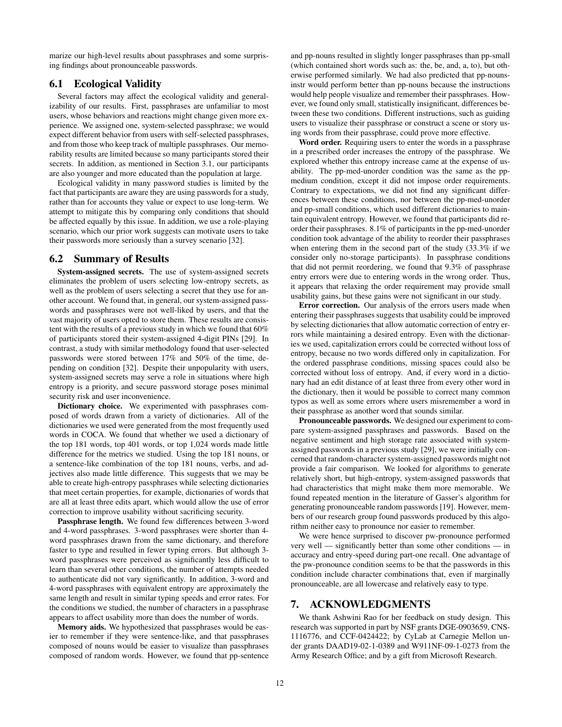marize our high-level results about passphrases and some surprising findings about pronounceable passwords.

## 6.1 Ecological Validity

Several factors may affect the ecological validity and generalizability of our results. First, passphrases are unfamiliar to most users, whose behaviors and reactions might change given more experience. We assigned one, system-selected passphrase; we would expect different behavior from users with self-selected passphrases, and from those who keep track of multiple passphrases. Our memorability results are limited because so many participants stored their secrets. In addition, as mentioned in Section 3.1, our participants are also younger and more educated than the population at large.

Ecological validity in many password studies is limited by the fact that participants are aware they are using passwords for a study, rather than for accounts they value or expect to use long-term. We attempt to mitigate this by comparing only conditions that should be affected equally by this issue. In addition, we use a role-playing scenario, which our prior work suggests can motivate users to take their passwords more seriously than a survey scenario [32].

### 6.2 Summary of Results

System-assigned secrets. The use of system-assigned secrets eliminates the problem of users selecting low-entropy secrets, as well as the problem of users selecting a secret that they use for another account. We found that, in general, our system-assigned passwords and passphrases were not well-liked by users, and that the vast majority of users opted to store them. These results are consistent with the results of a previous study in which we found that 60% of participants stored their system-assigned 4-digit PINs [29]. In contrast, a study with similar methodology found that user-selected passwords were stored between 17% and 50% of the time, depending on condition [32]. Despite their unpopularity with users, system-assigned secrets may serve a role in situations where high entropy is a priority, and secure password storage poses minimal security risk and user inconvenience.

Dictionary choice. We experimented with passphrases composed of words drawn from a variety of dictionaries. All of the dictionaries we used were generated from the most frequently used words in COCA. We found that whether we used a dictionary of the top 181 words, top 401 words, or top 1,024 words made little difference for the metrics we studied. Using the top 181 nouns, or a sentence-like combination of the top 181 nouns, verbs, and adjectives also made little difference. This suggests that we may be able to create high-entropy passphrases while selecting dictionaries that meet certain properties, for example, dictionaries of words that are all at least three edits apart, which would allow the use of error correction to improve usability without sacrificing security.

Passphrase length. We found few differences between 3-word and 4-word passphrases. 3-word passphrases were shorter than 4 word passphrases drawn from the same dictionary, and therefore faster to type and resulted in fewer typing errors. But although 3 word passphrases were perceived as significantly less difficult to learn than several other conditions, the number of attempts needed to authenticate did not vary significantly. In addition, 3-word and 4-word passphrases with equivalent entropy are approximately the same length and result in similar typing speeds and error rates. For the conditions we studied, the number of characters in a passphrase appears to affect usability more than does the number of words.

Memory aids. We hypothesized that passphrases would be easier to remember if they were sentence-like, and that passphrases composed of nouns would be easier to visualize than passphrases composed of random words. However, we found that pp-sentence and pp-nouns resulted in slightly longer passphrases than pp-small (which contained short words such as: the, be, and, a, to), but otherwise performed similarly. We had also predicted that pp-nounsinstr would perform better than pp-nouns because the instructions would help people visualize and remember their passphrases. However, we found only small, statistically insignificant, differences between these two conditions. Different instructions, such as guiding users to visualize their passphrase or construct a scene or story using words from their passphrase, could prove more effective.

Word order. Requiring users to enter the words in a passphrase in a prescribed order increases the entropy of the passphrase. We explored whether this entropy increase came at the expense of usability. The pp-med-unorder condition was the same as the ppmedium condition, except it did not impose order requirements. Contrary to expectations, we did not find any significant differences between these conditions, nor between the pp-med-unorder and pp-small conditions, which used different dictionaries to maintain equivalent entropy. However, we found that participants did reorder their passphrases. 8.1% of participants in the pp-med-unorder condition took advantage of the ability to reorder their passphrases when entering them in the second part of the study (33.3% if we consider only no-storage participants). In passphrase conditions that did not permit reordering, we found that 9.3% of passphrase entry errors were due to entering words in the wrong order. Thus, it appears that relaxing the order requirement may provide small usability gains, but these gains were not significant in our study.

Error correction. Our analysis of the errors users made when entering their passphrases suggests that usability could be improved by selecting dictionaries that allow automatic correction of entry errors while maintaining a desired entropy. Even with the dictionaries we used, capitalization errors could be corrected without loss of entropy, because no two words differed only in capitalization. For the ordered passphrase conditions, missing spaces could also be corrected without loss of entropy. And, if every word in a dictionary had an edit distance of at least three from every other word in the dictionary, then it would be possible to correct many common typos as well as some errors where users misremember a word in their passphrase as another word that sounds similar.

Pronounceable passwords. We designed our experiment to compare system-assigned passphrases and passwords. Based on the negative sentiment and high storage rate associated with systemassigned passwords in a previous study [29], we were initially concerned that random-character system-assigned passwords might not provide a fair comparison. We looked for algorithms to generate relatively short, but high-entropy, system-assigned passwords that had characteristics that might make them more memorable. We found repeated mention in the literature of Gasser's algorithm for generating pronounceable random passwords [19]. However, members of our research group found passwords produced by this algorithm neither easy to pronounce nor easier to remember.

We were hence surprised to discover pw-pronounce performed very well — significantly better than some other conditions — in accuracy and entry-speed during part-one recall. One advantage of the pw-pronounce condition seems to be that the passwords in this condition include character combinations that, even if marginally pronounceable, are all lowercase and relatively easy to type.

## 7. ACKNOWLEDGMENTS

We thank Ashwini Rao for her feedback on study design. This research was supported in part by NSF grants DGE-0903659, CNS-1116776, and CCF-0424422; by CyLab at Carnegie Mellon under grants DAAD19-02-1-0389 and W911NF-09-1-0273 from the Army Research Office; and by a gift from Microsoft Research.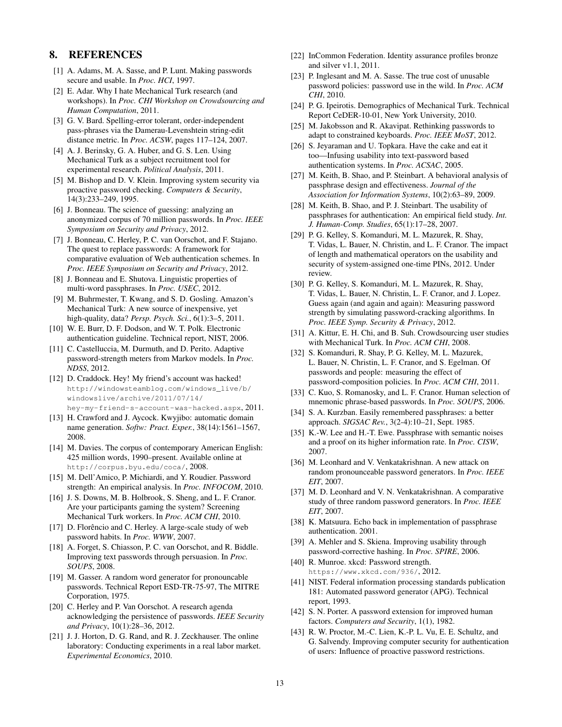# 8. REFERENCES

- [1] A. Adams, M. A. Sasse, and P. Lunt. Making passwords secure and usable. In *Proc. HCI*, 1997.
- [2] E. Adar. Why I hate Mechanical Turk research (and workshops). In *Proc. CHI Workshop on Crowdsourcing and Human Computation*, 2011.
- [3] G. V. Bard. Spelling-error tolerant, order-independent pass-phrases via the Damerau-Levenshtein string-edit distance metric. In *Proc. ACSW*, pages 117–124, 2007.
- [4] A. J. Berinsky, G. A. Huber, and G. S. Len. Using Mechanical Turk as a subject recruitment tool for experimental research. *Political Analysis*, 2011.
- [5] M. Bishop and D. V. Klein. Improving system security via proactive password checking. *Computers & Security*, 14(3):233–249, 1995.
- [6] J. Bonneau. The science of guessing: analyzing an anonymized corpus of 70 million passwords. In *Proc. IEEE Symposium on Security and Privacy*, 2012.
- [7] J. Bonneau, C. Herley, P. C. van Oorschot, and F. Stajano. The quest to replace passwords: A framework for comparative evaluation of Web authentication schemes. In *Proc. IEEE Symposium on Security and Privacy*, 2012.
- [8] J. Bonneau and E. Shutova. Linguistic properties of multi-word passphrases. In *Proc. USEC*, 2012.
- [9] M. Buhrmester, T. Kwang, and S. D. Gosling. Amazon's Mechanical Turk: A new source of inexpensive, yet high-quality, data? *Persp. Psych. Sci.*, 6(1):3–5, 2011.
- [10] W. E. Burr, D. F. Dodson, and W. T. Polk. Electronic authentication guideline. Technical report, NIST, 2006.
- [11] C. Castelluccia, M. Durmuth, and D. Perito. Adaptive password-strength meters from Markov models. In *Proc. NDSS*, 2012.
- [12] D. Craddock. Hey! My friend's account was hacked! http://windowsteamblog.com/windows\_live/b/ windowslive/archive/2011/07/14/ hey-my-friend-s-account-was-hacked.aspx, 2011.
- [13] H. Crawford and J. Aycock. Kwyjibo: automatic domain name generation. *Softw: Pract. Exper.*, 38(14):1561–1567, 2008.
- [14] M. Davies. The corpus of contemporary American English: 425 million words, 1990–present. Available online at http://corpus.byu.edu/coca/, 2008.
- [15] M. Dell'Amico, P. Michiardi, and Y. Roudier. Password strength: An empirical analysis. In *Proc. INFOCOM*, 2010.
- [16] J. S. Downs, M. B. Holbrook, S. Sheng, and L. F. Cranor. Are your participants gaming the system? Screening Mechanical Turk workers. In *Proc. ACM CHI*, 2010.
- [17] D. Florêncio and C. Herley. A large-scale study of web password habits. In *Proc. WWW*, 2007.
- [18] A. Forget, S. Chiasson, P. C. van Oorschot, and R. Biddle. Improving text passwords through persuasion. In *Proc. SOUPS*, 2008.
- [19] M. Gasser. A random word generator for pronouncable passwords. Technical Report ESD-TR-75-97, The MITRE Corporation, 1975.
- [20] C. Herley and P. Van Oorschot. A research agenda acknowledging the persistence of passwords. *IEEE Security and Privacy*, 10(1):28–36, 2012.
- [21] J. J. Horton, D. G. Rand, and R. J. Zeckhauser. The online laboratory: Conducting experiments in a real labor market. *Experimental Economics*, 2010.
- [22] InCommon Federation. Identity assurance profiles bronze and silver v1.1, 2011.
- [23] P. Inglesant and M. A. Sasse. The true cost of unusable password policies: password use in the wild. In *Proc. ACM CHI*, 2010.
- [24] P. G. Ipeirotis. Demographics of Mechanical Turk. Technical Report CeDER-10-01, New York University, 2010.
- [25] M. Jakobsson and R. Akavipat. Rethinking passwords to adapt to constrained keyboards. *Proc. IEEE MoST*, 2012.
- [26] S. Jeyaraman and U. Topkara. Have the cake and eat it too—Infusing usability into text-password based authentication systems. In *Proc. ACSAC*, 2005.
- [27] M. Keith, B. Shao, and P. Steinbart. A behavioral analysis of passphrase design and effectiveness. *Journal of the Association for Information Systems*, 10(2):63–89, 2009.
- [28] M. Keith, B. Shao, and P. J. Steinbart. The usability of passphrases for authentication: An empirical field study. *Int. J. Human-Comp. Studies*, 65(1):17–28, 2007.
- [29] P. G. Kelley, S. Komanduri, M. L. Mazurek, R. Shay, T. Vidas, L. Bauer, N. Christin, and L. F. Cranor. The impact of length and mathematical operators on the usability and security of system-assigned one-time PINs, 2012. Under review.
- [30] P. G. Kelley, S. Komanduri, M. L. Mazurek, R. Shay, T. Vidas, L. Bauer, N. Christin, L. F. Cranor, and J. Lopez. Guess again (and again and again): Measuring password strength by simulating password-cracking algorithms. In *Proc. IEEE Symp. Security & Privacy*, 2012.
- [31] A. Kittur, E. H. Chi, and B. Suh. Crowdsourcing user studies with Mechanical Turk. In *Proc. ACM CHI*, 2008.
- [32] S. Komanduri, R. Shay, P. G. Kelley, M. L. Mazurek, L. Bauer, N. Christin, L. F. Cranor, and S. Egelman. Of passwords and people: measuring the effect of password-composition policies. In *Proc. ACM CHI*, 2011.
- [33] C. Kuo, S. Romanosky, and L. F. Cranor. Human selection of mnemonic phrase-based passwords. In *Proc. SOUPS*, 2006.
- [34] S. A. Kurzban. Easily remembered passphrases: a better approach. *SIGSAC Rev.*, 3(2-4):10–21, Sept. 1985.
- [35] K.-W. Lee and H.-T. Ewe. Passphrase with semantic noises and a proof on its higher information rate. In *Proc. CISW*, 2007.
- [36] M. Leonhard and V. Venkatakrishnan. A new attack on random pronounceable password generators. In *Proc. IEEE EIT*, 2007.
- [37] M. D. Leonhard and V. N. Venkatakrishnan. A comparative study of three random password generators. In *Proc. IEEE EIT*, 2007.
- [38] K. Matsuura. Echo back in implementation of passphrase authentication. 2001.
- [39] A. Mehler and S. Skiena. Improving usability through password-corrective hashing. In *Proc. SPIRE*, 2006.
- [40] R. Munroe. xkcd: Password strength. https://www.xkcd.com/936/, 2012.
- [41] NIST. Federal information processing standards publication 181: Automated password generator (APG). Technical report, 1993.
- [42] S. N. Porter. A password extension for improved human factors. *Computers and Security*, 1(1), 1982.
- [43] R. W. Proctor, M.-C. Lien, K.-P. L. Vu, E. E. Schultz, and G. Salvendy. Improving computer security for authentication of users: Influence of proactive password restrictions.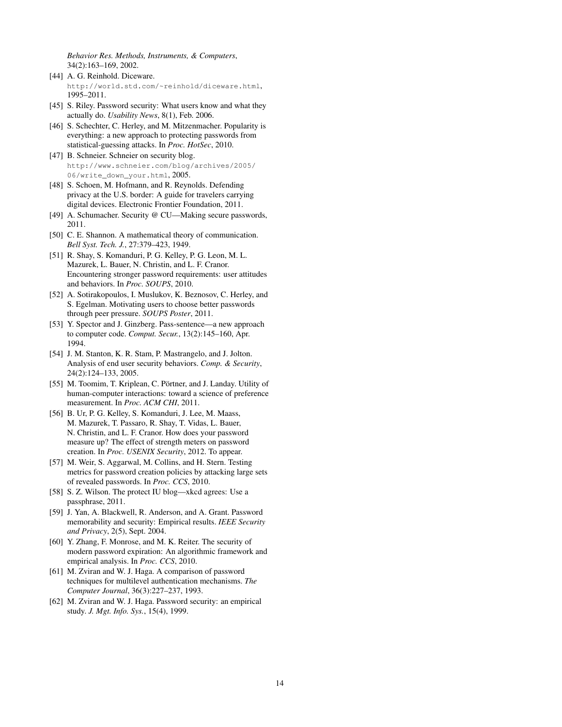*Behavior Res. Methods, Instruments, & Computers*, 34(2):163–169, 2002.

- [44] A. G. Reinhold. Diceware. http://world.std.com/~reinhold/diceware.html, 1995–2011.
- [45] S. Riley. Password security: What users know and what they actually do. *Usability News*, 8(1), Feb. 2006.
- [46] S. Schechter, C. Herley, and M. Mitzenmacher. Popularity is everything: a new approach to protecting passwords from statistical-guessing attacks. In *Proc. HotSec*, 2010.
- [47] B. Schneier. Schneier on security blog. http://www.schneier.com/blog/archives/2005/ 06/write\_down\_your.html, 2005.
- [48] S. Schoen, M. Hofmann, and R. Reynolds. Defending privacy at the U.S. border: A guide for travelers carrying digital devices. Electronic Frontier Foundation, 2011.
- [49] A. Schumacher. Security @ CU—Making secure passwords, 2011.
- [50] C. E. Shannon. A mathematical theory of communication. *Bell Syst. Tech. J.*, 27:379–423, 1949.
- [51] R. Shay, S. Komanduri, P. G. Kelley, P. G. Leon, M. L. Mazurek, L. Bauer, N. Christin, and L. F. Cranor. Encountering stronger password requirements: user attitudes and behaviors. In *Proc. SOUPS*, 2010.
- [52] A. Sotirakopoulos, I. Muslukov, K. Beznosov, C. Herley, and S. Egelman. Motivating users to choose better passwords through peer pressure. *SOUPS Poster*, 2011.
- [53] Y. Spector and J. Ginzberg. Pass-sentence—a new approach to computer code. *Comput. Secur.*, 13(2):145–160, Apr. 1994.
- [54] J. M. Stanton, K. R. Stam, P. Mastrangelo, and J. Jolton. Analysis of end user security behaviors. *Comp. & Security*, 24(2):124–133, 2005.
- [55] M. Toomim, T. Kriplean, C. Pörtner, and J. Landay. Utility of human-computer interactions: toward a science of preference measurement. In *Proc. ACM CHI*, 2011.
- [56] B. Ur, P. G. Kelley, S. Komanduri, J. Lee, M. Maass, M. Mazurek, T. Passaro, R. Shay, T. Vidas, L. Bauer, N. Christin, and L. F. Cranor. How does your password measure up? The effect of strength meters on password creation. In *Proc. USENIX Security*, 2012. To appear.
- [57] M. Weir, S. Aggarwal, M. Collins, and H. Stern. Testing metrics for password creation policies by attacking large sets of revealed passwords. In *Proc. CCS*, 2010.
- [58] S. Z. Wilson. The protect IU blog—xkcd agrees: Use a passphrase, 2011.
- [59] J. Yan, A. Blackwell, R. Anderson, and A. Grant. Password memorability and security: Empirical results. *IEEE Security and Privacy*, 2(5), Sept. 2004.
- [60] Y. Zhang, F. Monrose, and M. K. Reiter. The security of modern password expiration: An algorithmic framework and empirical analysis. In *Proc. CCS*, 2010.
- [61] M. Zviran and W. J. Haga. A comparison of password techniques for multilevel authentication mechanisms. *The Computer Journal*, 36(3):227–237, 1993.
- [62] M. Zviran and W. J. Haga. Password security: an empirical study. *J. Mgt. Info. Sys.*, 15(4), 1999.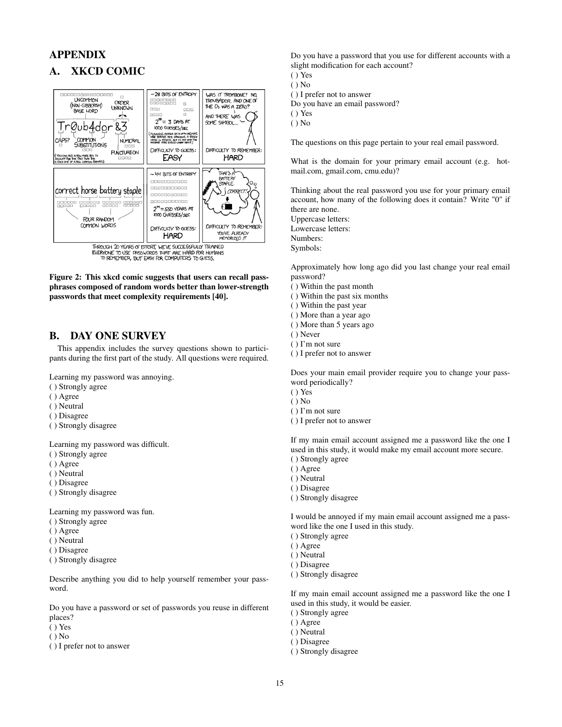# APPENDIX

# A. XKCD COMIC



THROUGH 20 YEARS OF EFFORT, WE'VE SUCCESSFULLY TRAINED<br>EVERYONE TO USE PASSWORDS THAT ARE HARD FOR HUMANS<br>TO REMEMBER, BUT EASY FOR COMPUTERS TO GUESS.

Figure 2: This xkcd comic suggests that users can recall passphrases composed of random words better than lower-strength passwords that meet complexity requirements [40].

# B. DAY ONE SURVEY

This appendix includes the survey questions shown to participants during the first part of the study. All questions were required.

Learning my password was annoying.

- ( ) Strongly agree
- ( ) Agree
- ( ) Neutral
- ( ) Disagree
- ( ) Strongly disagree

Learning my password was difficult.

- ( ) Strongly agree
- ( ) Agree
- ( ) Neutral
- ( ) Disagree
- ( ) Strongly disagree

Learning my password was fun.

- ( ) Strongly agree
- ( ) Agree
- ( ) Neutral
- ( ) Disagree
- ( ) Strongly disagree

Describe anything you did to help yourself remember your password.

Do you have a password or set of passwords you reuse in different places?

- ( ) Yes
- ( ) No
- ( ) I prefer not to answer

Do you have a password that you use for different accounts with a slight modification for each account?

- ( ) Yes
- ( ) No
- ( ) I prefer not to answer Do you have an email password?
- ( ) Yes
- $()$  No

The questions on this page pertain to your real email password.

What is the domain for your primary email account (e.g. hotmail.com, gmail.com, cmu.edu)?

Thinking about the real password you use for your primary email account, how many of the following does it contain? Write "0" if there are none.

Uppercase letters: Lowercase letters: Numbers:

Symbols:

Approximately how long ago did you last change your real email password?

- ( ) Within the past month
- ( ) Within the past six months
- ( ) Within the past year
- ( ) More than a year ago
- ( ) More than 5 years ago
- ( ) Never
- ( ) I'm not sure
- ( ) I prefer not to answer

Does your main email provider require you to change your password periodically?

- ( ) Yes
- ( ) No
- ( ) I'm not sure
- ( ) I prefer not to answer

If my main email account assigned me a password like the one I used in this study, it would make my email account more secure.

- ( ) Strongly agree
- ( ) Agree
- ( ) Neutral
- ( ) Disagree
- ( ) Strongly disagree

I would be annoyed if my main email account assigned me a password like the one I used in this study.

- ( ) Strongly agree
- ( ) Agree
- ( ) Neutral
- ( ) Disagree
- ( ) Strongly disagree

If my main email account assigned me a password like the one I used in this study, it would be easier.

- ( ) Strongly agree
- ( ) Agree
- ( ) Neutral
- ( ) Disagree
- ( ) Strongly disagree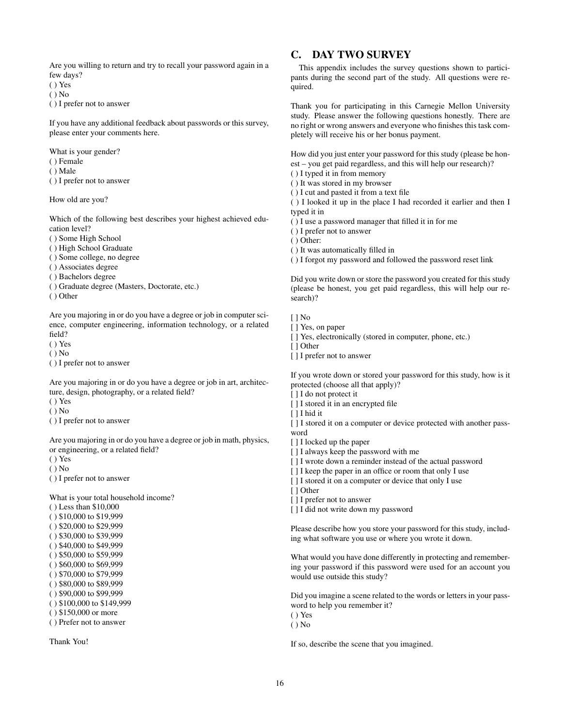Are you willing to return and try to recall your password again in a few days?

( ) Yes

( ) No

( ) I prefer not to answer

If you have any additional feedback about passwords or this survey, please enter your comments here.

What is your gender?

- ( ) Female
- ( ) Male
- ( ) I prefer not to answer

How old are you?

Which of the following best describes your highest achieved education level?

- ( ) Some High School
- ( ) High School Graduate
- ( ) Some college, no degree
- ( ) Associates degree
- ( ) Bachelors degree
- ( ) Graduate degree (Masters, Doctorate, etc.)
- ( ) Other

Are you majoring in or do you have a degree or job in computer science, computer engineering, information technology, or a related field?

- ( ) Yes
- $()$  No
- ( ) I prefer not to answer

Are you majoring in or do you have a degree or job in art, architecture, design, photography, or a related field?

- ( ) Yes
- ( ) No
- ( ) I prefer not to answer

Are you majoring in or do you have a degree or job in math, physics, or engineering, or a related field?

- ( ) Yes
- ( ) No

( ) I prefer not to answer

What is your total household income?

( ) Less than \$10,000 ( ) \$10,000 to \$19,999 ( ) \$20,000 to \$29,999 ( ) \$30,000 to \$39,999 ( ) \$40,000 to \$49,999 ( ) \$50,000 to \$59,999 ( ) \$60,000 to \$69,999 ( ) \$70,000 to \$79,999 ( ) \$80,000 to \$89,999 ( ) \$90,000 to \$99,999 ( ) \$100,000 to \$149,999 ( ) \$150,000 or more ( ) Prefer not to answer

Thank You!

# C. DAY TWO SURVEY

This appendix includes the survey questions shown to participants during the second part of the study. All questions were required.

Thank you for participating in this Carnegie Mellon University study. Please answer the following questions honestly. There are no right or wrong answers and everyone who finishes this task completely will receive his or her bonus payment.

How did you just enter your password for this study (please be honest – you get paid regardless, and this will help our research)?

- ( ) I typed it in from memory
- ( ) It was stored in my browser
- ( ) I cut and pasted it from a text file
- ( ) I looked it up in the place I had recorded it earlier and then I typed it in
- ( ) I use a password manager that filled it in for me
- ( ) I prefer not to answer
- ( ) Other:
- ( ) It was automatically filled in

( ) I forgot my password and followed the password reset link

Did you write down or store the password you created for this study (please be honest, you get paid regardless, this will help our research)?

- [ ] No
- [ ] Yes, on paper
- [ ] Yes, electronically (stored in computer, phone, etc.)
- [ ] Other
- [ ] I prefer not to answer

If you wrote down or stored your password for this study, how is it protected (choose all that apply)?

- [ ] I do not protect it
- [ ] I stored it in an encrypted file
- [ ] I hid it

[] I stored it on a computer or device protected with another password

- [ ] I locked up the paper
- [ ] I always keep the password with me
- [ ] I wrote down a reminder instead of the actual password
- [ ] I keep the paper in an office or room that only I use
- [ ] I stored it on a computer or device that only I use
- [ ] Other
- [ ] I prefer not to answer
- [ ] I did not write down my password

Please describe how you store your password for this study, including what software you use or where you wrote it down.

What would you have done differently in protecting and remembering your password if this password were used for an account you would use outside this study?

Did you imagine a scene related to the words or letters in your password to help you remember it?

- ( ) Yes
- ( ) No

If so, describe the scene that you imagined.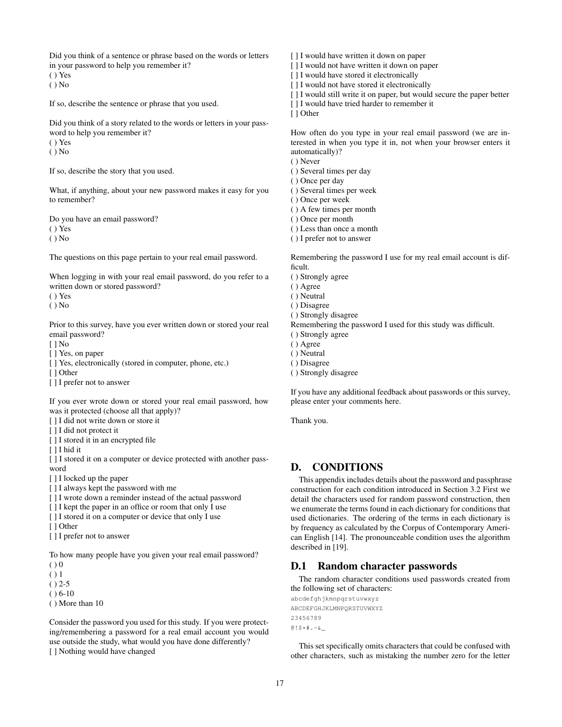Did you think of a sentence or phrase based on the words or letters in your password to help you remember it?

( ) Yes

( ) No

If so, describe the sentence or phrase that you used.

Did you think of a story related to the words or letters in your password to help you remember it? ( ) Yes

( ) No

If so, describe the story that you used.

What, if anything, about your new password makes it easy for you to remember?

Do you have an email password?

( ) Yes

( ) No

The questions on this page pertain to your real email password.

When logging in with your real email password, do you refer to a written down or stored password?

( ) Yes

( ) No

Prior to this survey, have you ever written down or stored your real email password?

[ ] No

- [ ] Yes, on paper
- [ ] Yes, electronically (stored in computer, phone, etc.)

[ ] Other

[ ] I prefer not to answer

If you ever wrote down or stored your real email password, how was it protected (choose all that apply)?

[ ] I did not write down or store it

[ ] I did not protect it

[ ] I stored it in an encrypted file

[ ] I hid it

[ ] I stored it on a computer or device protected with another password

[ ] I locked up the paper

[ ] I always kept the password with me

[ ] I wrote down a reminder instead of the actual password

[] I kept the paper in an office or room that only I use

- [] I stored it on a computer or device that only I use
- [ ] Other

[ ] I prefer not to answer

To how many people have you given your real email password?

 $()$  0

 $( ) 1$  $() 2-5$ 

 $( ) 6-10$ 

( ) More than 10

Consider the password you used for this study. If you were protecting/remembering a password for a real email account you would use outside the study, what would you have done differently? [ ] Nothing would have changed

[ ] I would have written it down on paper

[ ] I would not have written it down on paper

[ ] I would have stored it electronically

[ ] I would not have stored it electronically

[ ] I would still write it on paper, but would secure the paper better

[ ] I would have tried harder to remember it

[ ] Other

How often do you type in your real email password (we are interested in when you type it in, not when your browser enters it automatically)?

( ) Never

( ) Several times per day

- ( ) Once per day
- ( ) Several times per week
- ( ) Once per week
- ( ) A few times per month
- ( ) Once per month
- ( ) Less than once a month
- ( ) I prefer not to answer

Remembering the password I use for my real email account is difficult.

( ) Strongly agree

- ( ) Agree
- ( ) Neutral
- ( ) Disagree
- ( ) Strongly disagree
- Remembering the password I used for this study was difficult.
- ( ) Strongly agree
- ( ) Agree
- ( ) Neutral
- ( ) Disagree
- ( ) Strongly disagree

If you have any additional feedback about passwords or this survey, please enter your comments here.

Thank you.

# D. CONDITIONS

This appendix includes details about the password and passphrase construction for each condition introduced in Section 3.2 First we detail the characters used for random password construction, then we enumerate the terms found in each dictionary for conditions that used dictionaries. The ordering of the terms in each dictionary is by frequency as calculated by the Corpus of Contemporary American English [14]. The pronounceable condition uses the algorithm described in [19].

# D.1 Random character passwords

The random character conditions used passwords created from the following set of characters:

```
abcdefghjkmnpqrstuvwxyz
ABCDEFGHJKLMNPQRSTUVWXYZ
23456789
@!$*#.-&_
```
This set specifically omits characters that could be confused with other characters, such as mistaking the number zero for the letter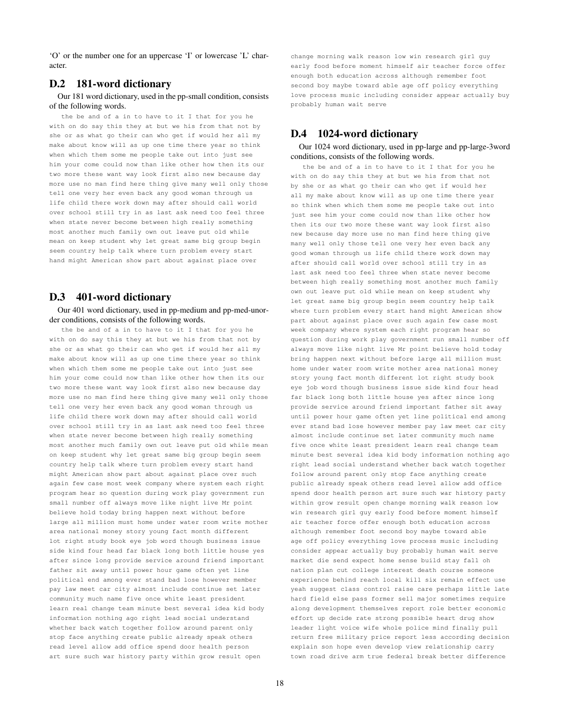'O' or the number one for an uppercase 'I' or lowercase 'L' character.

## D.2 181-word dictionary

#### Our 181 word dictionary, used in the pp-small condition, consists of the following words.

the be and of a in to have to it I that for you he with on do say this they at but we his from that not by she or as what go their can who get if would her all my make about know will as up one time there year so think when which them some me people take out into just see him your come could now than like other how then its our two more these want way look first also new because day more use no man find here thing give many well only those tell one very her even back any good woman through us life child there work down may after should call world over school still try in as last ask need too feel three when state never become between high really something most another much family own out leave put old while mean on keep student why let great same big group begin seem country help talk where turn problem every start hand might American show part about against place over

# D.3 401-word dictionary

#### Our 401 word dictionary, used in pp-medium and pp-med-unorder conditions, consists of the following words.

the be and of a in to have to it I that for you he with on do say this they at but we his from that not by she or as what go their can who get if would her all my make about know will as up one time there year so think when which them some me people take out into just see him your come could now than like other how then its our two more these want way look first also new because day more use no man find here thing give many well only those tell one very her even back any good woman through us life child there work down may after should call world over school still try in as last ask need too feel three when state never become between high really something most another much family own out leave put old while mean on keep student why let great same big group begin seem country help talk where turn problem every start hand might American show part about against place over such again few case most week company where system each right program hear so question during work play government run small number off always move like night live Mr point believe hold today bring happen next without before large all million must home under water room write mother area national money story young fact month different lot right study book eye job word though business issue side kind four head far black long both little house yes after since long provide service around friend important father sit away until power hour game often yet line political end among ever stand bad lose however member pay law meet car city almost include continue set later community much name five once white least president learn real change team minute best several idea kid body information nothing ago right lead social understand whether back watch together follow around parent only stop face anything create public already speak others read level allow add office spend door health person art sure such war history party within grow result open

change morning walk reason low win research girl guy early food before moment himself air teacher force offer enough both education across although remember foot second boy maybe toward able age off policy everything love process music including consider appear actually buy probably human wait serve

# D.4 1024-word dictionary

Our 1024 word dictionary, used in pp-large and pp-large-3word conditions, consists of the following words.

the be and of a in to have to it I that for you he with on do say this they at but we his from that not by she or as what go their can who get if would her all my make about know will as up one time there year so think when which them some me people take out into just see him your come could now than like other how then its our two more these want way look first also new because day more use no man find here thing give many well only those tell one very her even back any good woman through us life child there work down may after should call world over school still try in as last ask need too feel three when state never become between high really something most another much family own out leave put old while mean on keep student why let great same big group begin seem country help talk where turn problem every start hand might American show part about against place over such again few case most week company where system each right program hear so question during work play government run small number off always move like night live Mr point believe hold today bring happen next without before large all million must home under water room write mother area national money story young fact month different lot right study book eye job word though business issue side kind four head far black long both little house yes after since long provide service around friend important father sit away until power hour game often yet line political end among ever stand bad lose however member pay law meet car city almost include continue set later community much name five once white least president learn real change team minute best several idea kid body information nothing ago right lead social understand whether back watch together follow around parent only stop face anything create public already speak others read level allow add office spend door health person art sure such war history party within grow result open change morning walk reason low win research girl guy early food before moment himself air teacher force offer enough both education across although remember foot second boy maybe toward able age off policy everything love process music including consider appear actually buy probably human wait serve market die send expect home sense build stay fall oh nation plan cut college interest death course someone experience behind reach local kill six remain effect use yeah suggest class control raise care perhaps little late hard field else pass former sell major sometimes require along development themselves report role better economic effort up decide rate strong possible heart drug show leader light voice wife whole police mind finally pull return free military price report less according decision explain son hope even develop view relationship carry town road drive arm true federal break better difference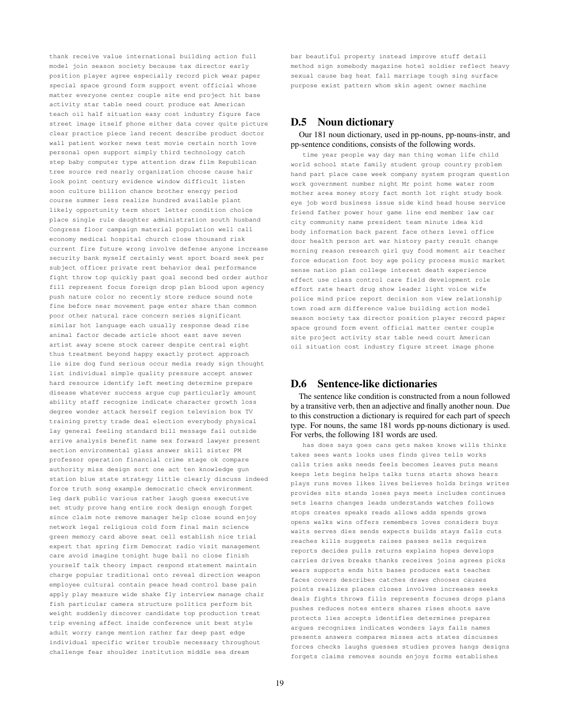thank receive value international building action full model join season society because tax director early position player agree especially record pick wear paper special space ground form support event official whose matter everyone center couple site end project hit base activity star table need court produce eat American teach oil half situation easy cost industry figure face street image itself phone either data cover quite picture clear practice piece land recent describe product doctor wall patient worker news test movie certain north love personal open support simply third technology catch step baby computer type attention draw film Republican tree source red nearly organization choose cause hair look point century evidence window difficult listen soon culture billion chance brother energy period course summer less realize hundred available plant likely opportunity term short letter condition choice place single rule daughter administration south husband Congress floor campaign material population well call economy medical hospital church close thousand risk current fire future wrong involve defense anyone increase security bank myself certainly west sport board seek per subject officer private rest behavior deal performance fight throw top quickly past goal second bed order author fill represent focus foreign drop plan blood upon agency push nature color no recently store reduce sound note fine before near movement page enter share than common poor other natural race concern series significant similar hot language each usually response dead rise animal factor decade article shoot east save seven artist away scene stock career despite central eight thus treatment beyond happy exactly protect approach lie size dog fund serious occur media ready sign thought list individual simple quality pressure accept answer hard resource identify left meeting determine prepare disease whatever success argue cup particularly amount ability staff recognize indicate character growth loss degree wonder attack herself region television box TV training pretty trade deal election everybody physical lay general feeling standard bill message fail outside arrive analysis benefit name sex forward lawyer present section environmental glass answer skill sister PM professor operation financial crime stage ok compare authority miss design sort one act ten knowledge gun station blue state strategy little clearly discuss indeed force truth song example democratic check environment leg dark public various rather laugh guess executive set study prove hang entire rock design enough forget since claim note remove manager help close sound enjoy network legal religious cold form final main science green memory card above seat cell establish nice trial expert that spring firm Democrat radio visit management care avoid imagine tonight huge ball no close finish yourself talk theory impact respond statement maintain charge popular traditional onto reveal direction weapon employee cultural contain peace head control base pain apply play measure wide shake fly interview manage chair fish particular camera structure politics perform bit weight suddenly discover candidate top production treat trip evening affect inside conference unit best style adult worry range mention rather far deep past edge individual specific writer trouble necessary throughout challenge fear shoulder institution middle sea dream

bar beautiful property instead improve stuff detail method sign somebody magazine hotel soldier reflect heavy sexual cause bag heat fall marriage tough sing surface purpose exist pattern whom skin agent owner machine

## D.5 Noun dictionary

Our 181 noun dictionary, used in pp-nouns, pp-nouns-instr, and pp-sentence conditions, consists of the following words.

time year people way day man thing woman life child world school state family student group country problem hand part place case week company system program question work government number night Mr point home water room mother area money story fact month lot right study book eye job word business issue side kind head house service friend father power hour game line end member law car city community name president team minute idea kid body information back parent face others level office door health person art war history party result change morning reason research girl guy food moment air teacher force education foot boy age policy process music market sense nation plan college interest death experience effect use class control care field development role effort rate heart drug show leader light voice wife police mind price report decision son view relationship town road arm difference value building action model season society tax director position player record paper space ground form event official matter center couple site project activity star table need court American oil situation cost industry figure street image phone

# D.6 Sentence-like dictionaries

The sentence like condition is constructed from a noun followed by a transitive verb, then an adjective and finally another noun. Due to this construction a dictionary is required for each part of speech type. For nouns, the same 181 words pp-nouns dictionary is used. For verbs, the following 181 words are used.

has does says goes cans gets makes knows wills thinks takes sees wants looks uses finds gives tells works calls tries asks needs feels becomes leaves puts means keeps lets begins helps talks turns starts shows hears plays runs moves likes lives believes holds brings writes provides sits stands loses pays meets includes continues sets learns changes leads understands watches follows stops creates speaks reads allows adds spends grows opens walks wins offers remembers loves considers buys waits serves dies sends expects builds stays falls cuts reaches kills suggests raises passes sells requires reports decides pulls returns explains hopes develops carries drives breaks thanks receives joins agrees picks wears supports ends hits bases produces eats teaches faces covers describes catches draws chooses causes points realizes places closes involves increases seeks deals fights throws fills represents focuses drops plans pushes reduces notes enters shares rises shoots save protects lies accepts identifies determines prepares argues recognizes indicates wonders lays fails names presents answers compares misses acts states discusses forces checks laughs guesses studies proves hangs designs forgets claims removes sounds enjoys forms establishes